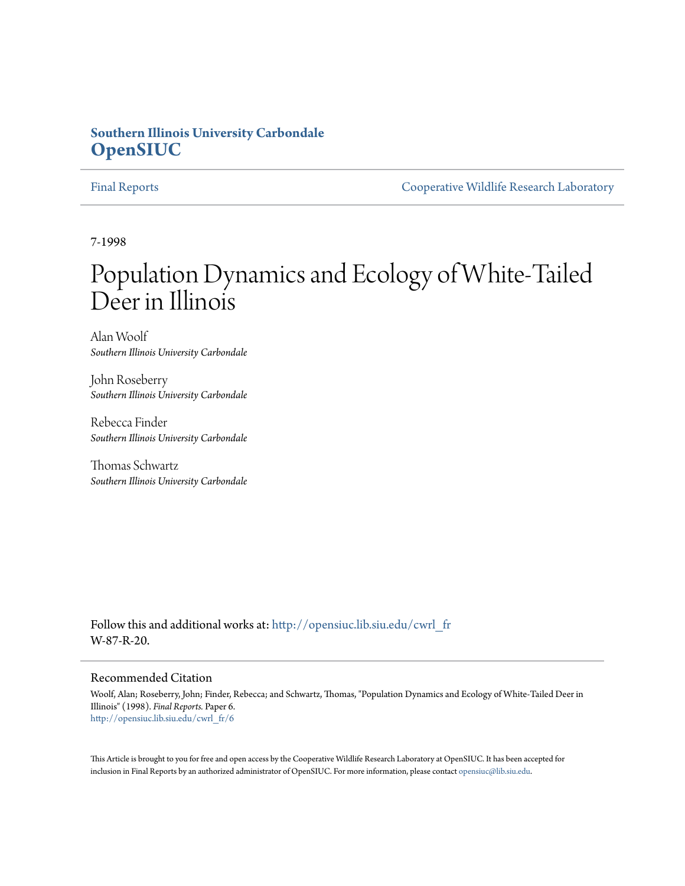# **Southern Illinois University Carbondale [OpenSIUC](http://opensiuc.lib.siu.edu?utm_source=opensiuc.lib.siu.edu%2Fcwrl_fr%2F6&utm_medium=PDF&utm_campaign=PDFCoverPages)**

[Final Reports](http://opensiuc.lib.siu.edu/cwrl_fr?utm_source=opensiuc.lib.siu.edu%2Fcwrl_fr%2F6&utm_medium=PDF&utm_campaign=PDFCoverPages) [Cooperative Wildlife Research Laboratory](http://opensiuc.lib.siu.edu/cwrl?utm_source=opensiuc.lib.siu.edu%2Fcwrl_fr%2F6&utm_medium=PDF&utm_campaign=PDFCoverPages)

7-1998

# Population Dynamics and Ecology of White-Tailed Deer in Illinois

Alan Woolf *Southern Illinois University Carbondale*

John Roseberry *Southern Illinois University Carbondale*

Rebecca Finder *Southern Illinois University Carbondale*

Thomas Schwartz *Southern Illinois University Carbondale*

Follow this and additional works at: [http://opensiuc.lib.siu.edu/cwrl\\_fr](http://opensiuc.lib.siu.edu/cwrl_fr?utm_source=opensiuc.lib.siu.edu%2Fcwrl_fr%2F6&utm_medium=PDF&utm_campaign=PDFCoverPages) W-87-R-20.

#### Recommended Citation

Woolf, Alan; Roseberry, John; Finder, Rebecca; and Schwartz, Thomas, "Population Dynamics and Ecology of White-Tailed Deer in Illinois" (1998). *Final Reports.* Paper 6. [http://opensiuc.lib.siu.edu/cwrl\\_fr/6](http://opensiuc.lib.siu.edu/cwrl_fr/6?utm_source=opensiuc.lib.siu.edu%2Fcwrl_fr%2F6&utm_medium=PDF&utm_campaign=PDFCoverPages)

This Article is brought to you for free and open access by the Cooperative Wildlife Research Laboratory at OpenSIUC. It has been accepted for inclusion in Final Reports by an authorized administrator of OpenSIUC. For more information, please contact [opensiuc@lib.siu.edu](mailto:opensiuc@lib.siu.edu).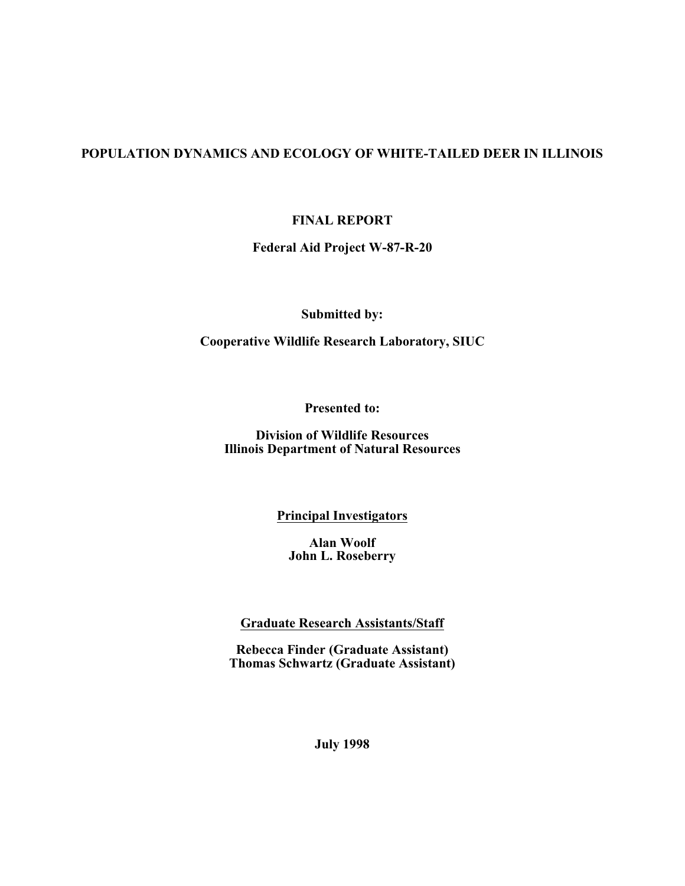## **POPULATION DYNAMICS AND ECOLOGY OF WHITE-TAILED DEER IN ILLINOIS**

**FINAL REPORT**

**Federal Aid Project W-87-R-20**

**Submitted by:**

**Cooperative Wildlife Research Laboratory, SIUC**

**Presented to:**

**Division of Wildlife Resources Illinois Department of Natural Resources**

**Principal Investigators**

**Alan Woolf John L. Roseberry**

**Graduate Research Assistants/Staff**

**Rebecca Finder (Graduate Assistant) Thomas Schwartz (Graduate Assistant)**

**July 1998**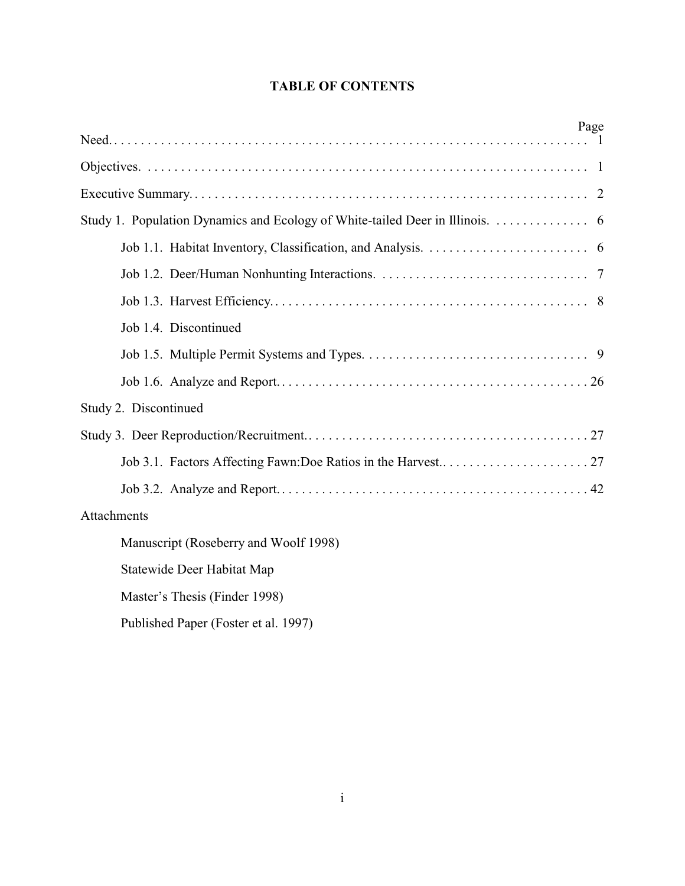# **TABLE OF CONTENTS**

| Page                                                                         |
|------------------------------------------------------------------------------|
|                                                                              |
|                                                                              |
|                                                                              |
| Study 1. Population Dynamics and Ecology of White-tailed Deer in Illinois. 6 |
|                                                                              |
|                                                                              |
|                                                                              |
| Job 1.4. Discontinued                                                        |
|                                                                              |
|                                                                              |
| Study 2. Discontinued                                                        |
|                                                                              |
|                                                                              |
|                                                                              |
| Attachments                                                                  |
| Manuscript (Roseberry and Woolf 1998)                                        |
| Statewide Deer Habitat Map                                                   |
| Master's Thesis (Finder 1998)                                                |
| Published Paper (Foster et al. 1997)                                         |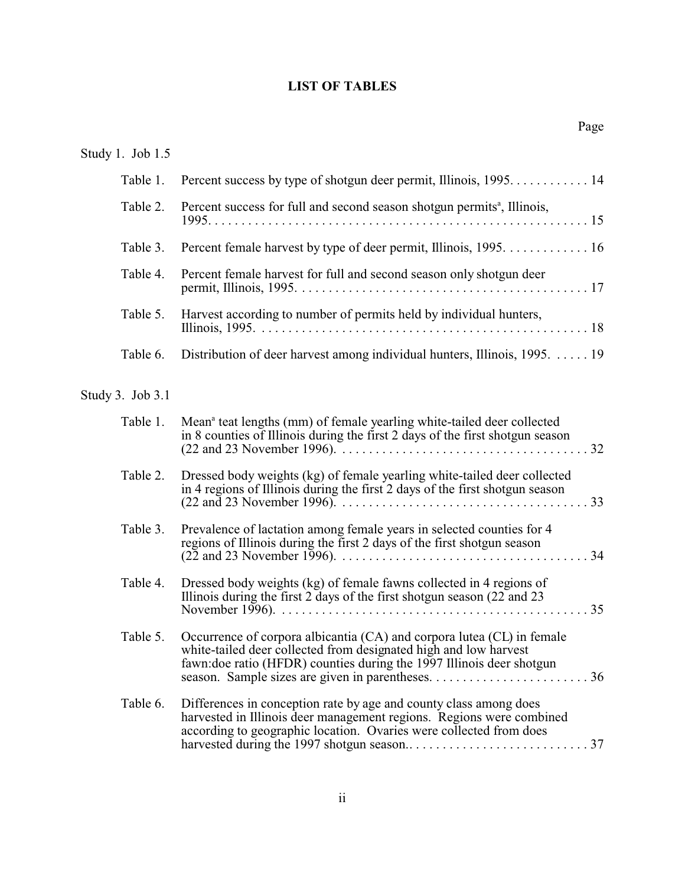# **LIST OF TABLES**

| Study 1. Job 1.5 |                                                                                                                                                                                                                     |
|------------------|---------------------------------------------------------------------------------------------------------------------------------------------------------------------------------------------------------------------|
| Table 1.         | Percent success by type of shotgun deer permit, Illinois, 1995. 14                                                                                                                                                  |
| Table 2.         | Percent success for full and second season shotgun permits <sup>a</sup> , Illinois,                                                                                                                                 |
| Table 3.         | Percent female harvest by type of deer permit, Illinois, 1995. 16                                                                                                                                                   |
| Table 4.         | Percent female harvest for full and second season only shotgun deer                                                                                                                                                 |
| Table 5.         | Harvest according to number of permits held by individual hunters,                                                                                                                                                  |
| Table 6.         | Distribution of deer harvest among individual hunters, Illinois, 1995. 19                                                                                                                                           |
| Study 3. Job 3.1 |                                                                                                                                                                                                                     |
| Table 1.         | Mean <sup>a</sup> teat lengths (mm) of female yearling white-tailed deer collected<br>in 8 counties of Illinois during the first 2 days of the first shotgun season                                                 |
| Table 2.         | Dressed body weights (kg) of female yearling white-tailed deer collected<br>in 4 regions of Illinois during the first 2 days of the first shotgun season                                                            |
| Table 3.         | Prevalence of lactation among female years in selected counties for 4<br>regions of Illinois during the first 2 days of the first shotgun season                                                                    |
| Table 4.         | Dressed body weights (kg) of female fawns collected in 4 regions of<br>Illinois during the first $2$ days of the first shotgun season $(22 \text{ and } 23)$                                                        |
| Table 5.         | Occurrence of corpora albicantia (CA) and corpora lutea (CL) in female<br>white-tailed deer collected from designated high and low harvest<br>fawn: doe ratio (HFDR) counties during the 1997 Illinois deer shotgun |
| Table 6.         | Differences in conception rate by age and county class among does<br>harvested in Illinois deer management regions. Regions were combined<br>according to geographic location. Ovaries were collected from does     |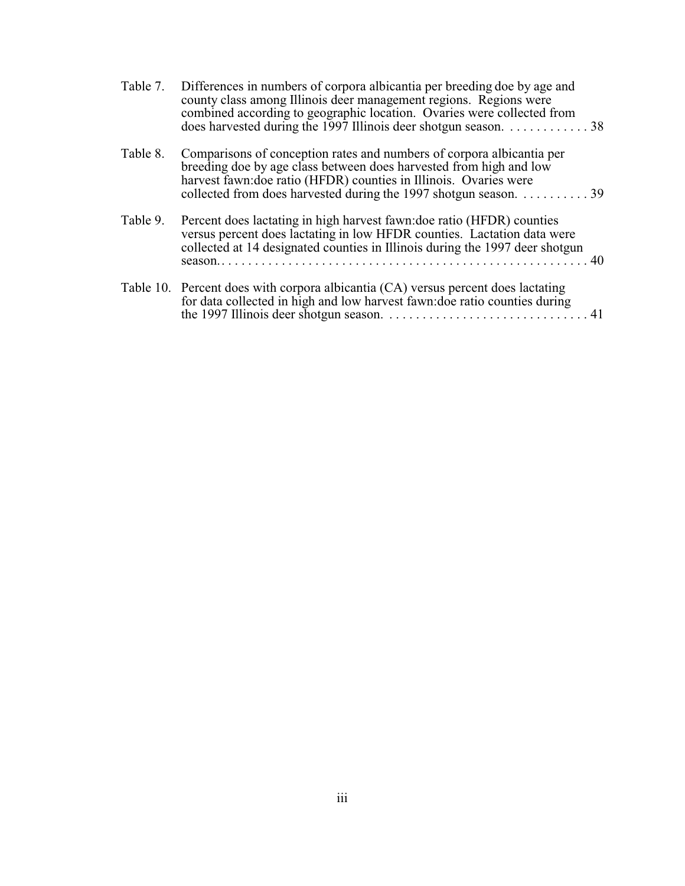| Table 7. | Differences in numbers of corpora albicantia per breeding doe by age and<br>county class among Illinois deer management regions. Regions were<br>combined according to geographic location. Ovaries were collected from<br>does harvested during the 1997 Illinois deer shotgun season. 38 |
|----------|--------------------------------------------------------------------------------------------------------------------------------------------------------------------------------------------------------------------------------------------------------------------------------------------|
| Table 8. | Comparisons of conception rates and numbers of corpora albicantia per<br>breeding doe by age class between does harvested from high and low<br>harvest fawn: doe ratio (HFDR) counties in Illinois. Ovaries were<br>collected from does harvested during the 1997 shotgun season. 39       |
| Table 9. | Percent does lactating in high harvest fawn: doe ratio (HFDR) counties<br>versus percent does lactating in low HFDR counties. Lactation data were<br>collected at 14 designated counties in Illinois during the 1997 deer shotgun<br>- 40<br>season                                        |
|          | Table 10. Percent does with corpora albicantia (CA) versus percent does lactating<br>for data collected in high and low harvest fawn: doe ratio counties during                                                                                                                            |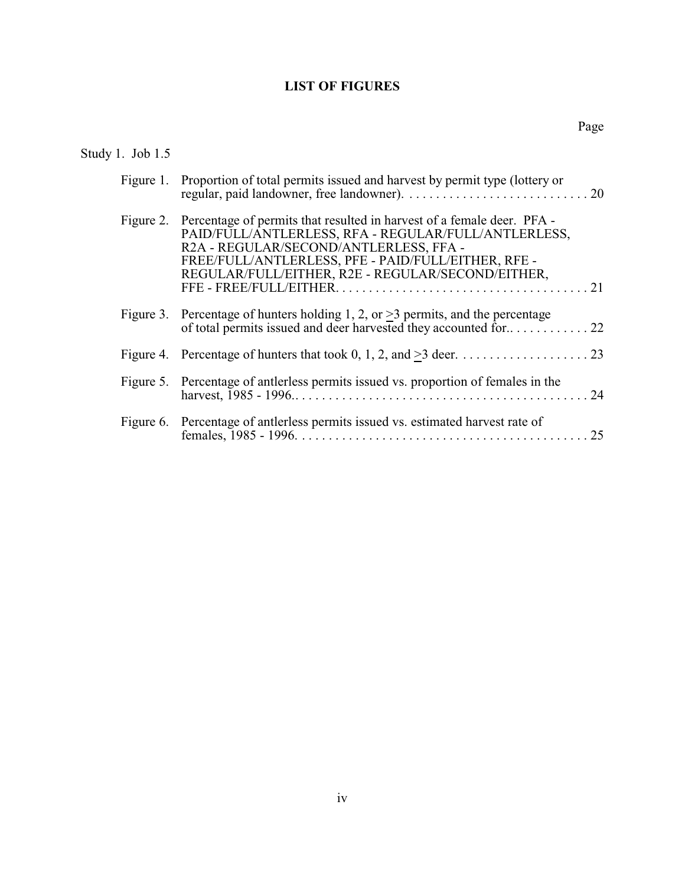# **LIST OF FIGURES**

# Study 1. Job 1.5

| Figure 1. Proportion of total permits issued and harvest by permit type (lottery or                                                                                                                                                                                                            |
|------------------------------------------------------------------------------------------------------------------------------------------------------------------------------------------------------------------------------------------------------------------------------------------------|
| Figure 2. Percentage of permits that resulted in harvest of a female deer. PFA -<br>PAID/FULL/ANTLERLESS, RFA - REGULAR/FULL/ANTLERLESS,<br>R2A - REGULAR/SECOND/ANTLERLESS, FFA -<br>FREE/FULL/ANTLERLESS, PFE - PAID/FULL/EITHER, RFE -<br>REGULAR/FULL/EITHER, R2E - REGULAR/SECOND/EITHER, |
| Figure 3. Percentage of hunters holding 1, 2, or $>3$ permits, and the percentage                                                                                                                                                                                                              |
|                                                                                                                                                                                                                                                                                                |
| Figure 5. Percentage of antierless permits issued vs. proportion of females in the                                                                                                                                                                                                             |
| Figure 6. Percentage of antierless permits issued vs. estimated harvest rate of                                                                                                                                                                                                                |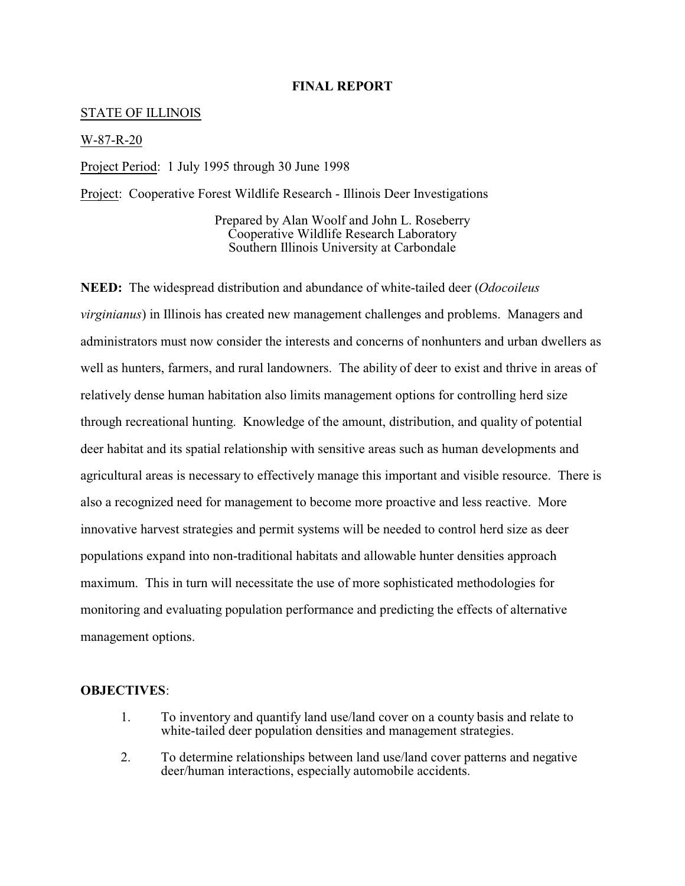#### **FINAL REPORT**

#### STATE OF ILLINOIS

#### W-87-R-20

Project Period: 1 July 1995 through 30 June 1998

Project: Cooperative Forest Wildlife Research - Illinois Deer Investigations

Prepared by Alan Woolf and John L. Roseberry Cooperative Wildlife Research Laboratory Southern Illinois University at Carbondale

**NEED:** The widespread distribution and abundance of white-tailed deer (*Odocoileus virginianus*) in Illinois has created new management challenges and problems. Managers and administrators must now consider the interests and concerns of nonhunters and urban dwellers as well as hunters, farmers, and rural landowners. The ability of deer to exist and thrive in areas of relatively dense human habitation also limits management options for controlling herd size through recreational hunting. Knowledge of the amount, distribution, and quality of potential deer habitat and its spatial relationship with sensitive areas such as human developments and agricultural areas is necessary to effectively manage this important and visible resource. There is also a recognized need for management to become more proactive and less reactive. More innovative harvest strategies and permit systems will be needed to control herd size as deer populations expand into non-traditional habitats and allowable hunter densities approach maximum. This in turn will necessitate the use of more sophisticated methodologies for monitoring and evaluating population performance and predicting the effects of alternative management options.

#### **OBJECTIVES**:

- 1. To inventory and quantify land use/land cover on a county basis and relate to white-tailed deer population densities and management strategies.
- 2. To determine relationships between land use/land cover patterns and negative deer/human interactions, especially automobile accidents.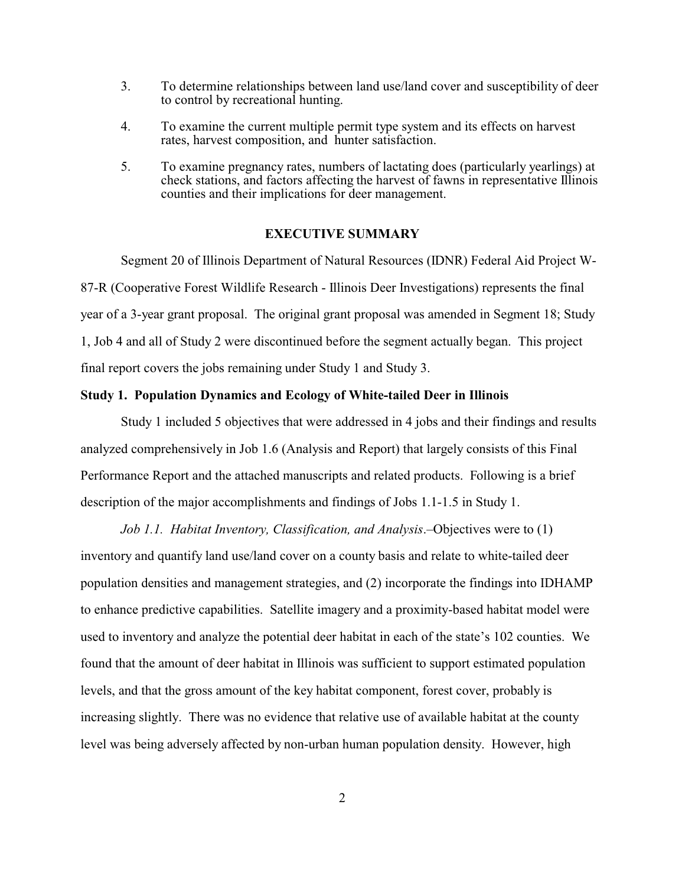- 3. To determine relationships between land use/land cover and susceptibility of deer to control by recreational hunting.
- 4. To examine the current multiple permit type system and its effects on harvest rates, harvest composition, and hunter satisfaction.
- 5. To examine pregnancy rates, numbers of lactating does (particularly yearlings) at check stations, and factors affecting the harvest of fawns in representative Illinois counties and their implications for deer management.

#### **EXECUTIVE SUMMARY**

Segment 20 of Illinois Department of Natural Resources (IDNR) Federal Aid Project W-87-R (Cooperative Forest Wildlife Research - Illinois Deer Investigations) represents the final year of a 3-year grant proposal. The original grant proposal was amended in Segment 18; Study 1, Job 4 and all of Study 2 were discontinued before the segment actually began. This project final report covers the jobs remaining under Study 1 and Study 3.

#### **Study 1. Population Dynamics and Ecology of White-tailed Deer in Illinois**

Study 1 included 5 objectives that were addressed in 4 jobs and their findings and results analyzed comprehensively in Job 1.6 (Analysis and Report) that largely consists of this Final Performance Report and the attached manuscripts and related products. Following is a brief description of the major accomplishments and findings of Jobs 1.1-1.5 in Study 1.

*Job 1.1. Habitat Inventory, Classification, and Analysis*.–Objectives were to (1) inventory and quantify land use/land cover on a county basis and relate to white-tailed deer population densities and management strategies, and (2) incorporate the findings into IDHAMP to enhance predictive capabilities. Satellite imagery and a proximity-based habitat model were used to inventory and analyze the potential deer habitat in each of the state's 102 counties. We found that the amount of deer habitat in Illinois was sufficient to support estimated population levels, and that the gross amount of the key habitat component, forest cover, probably is increasing slightly. There was no evidence that relative use of available habitat at the county level was being adversely affected by non-urban human population density. However, high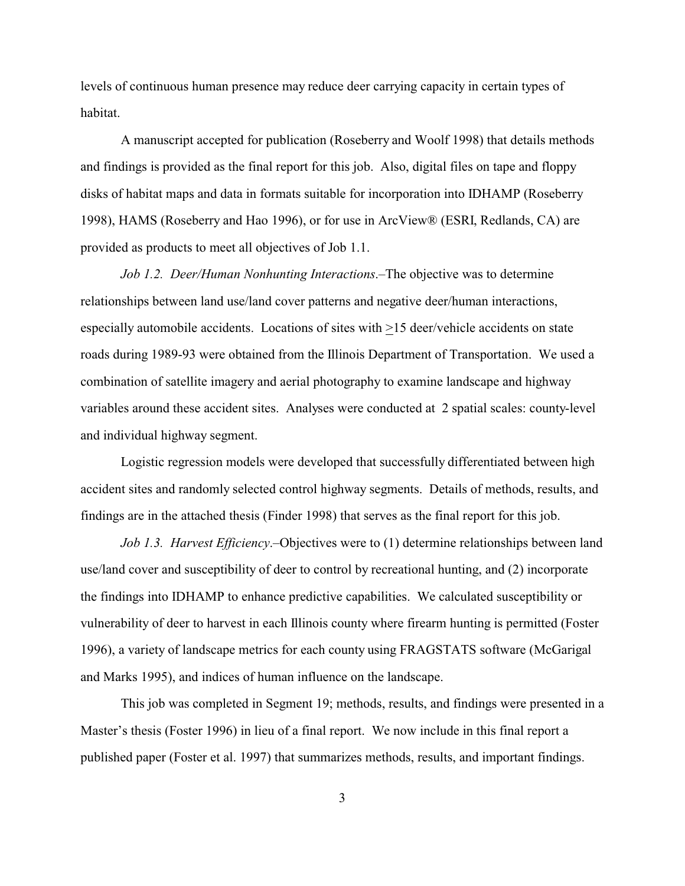levels of continuous human presence may reduce deer carrying capacity in certain types of habitat.

A manuscript accepted for publication (Roseberry and Woolf 1998) that details methods and findings is provided as the final report for this job. Also, digital files on tape and floppy disks of habitat maps and data in formats suitable for incorporation into IDHAMP (Roseberry 1998), HAMS (Roseberry and Hao 1996), or for use in ArcView® (ESRI, Redlands, CA) are provided as products to meet all objectives of Job 1.1.

*Job 1.2. Deer/Human Nonhunting Interactions*.–The objective was to determine relationships between land use/land cover patterns and negative deer/human interactions, especially automobile accidents. Locations of sites with >15 deer/vehicle accidents on state roads during 1989-93 were obtained from the Illinois Department of Transportation. We used a combination of satellite imagery and aerial photography to examine landscape and highway variables around these accident sites. Analyses were conducted at 2 spatial scales: county-level and individual highway segment.

Logistic regression models were developed that successfully differentiated between high accident sites and randomly selected control highway segments. Details of methods, results, and findings are in the attached thesis (Finder 1998) that serves as the final report for this job.

*Job 1.3. Harvest Efficiency*.–Objectives were to (1) determine relationships between land use/land cover and susceptibility of deer to control by recreational hunting, and (2) incorporate the findings into IDHAMP to enhance predictive capabilities. We calculated susceptibility or vulnerability of deer to harvest in each Illinois county where firearm hunting is permitted (Foster 1996), a variety of landscape metrics for each county using FRAGSTATS software (McGarigal and Marks 1995), and indices of human influence on the landscape.

This job was completed in Segment 19; methods, results, and findings were presented in a Master's thesis (Foster 1996) in lieu of a final report. We now include in this final report a published paper (Foster et al. 1997) that summarizes methods, results, and important findings.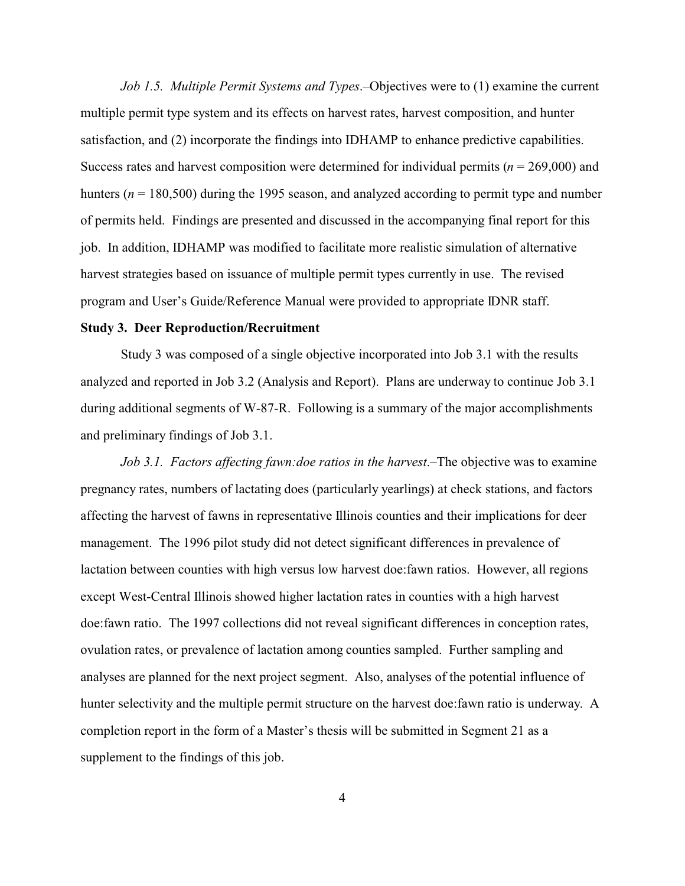*Job 1.5. Multiple Permit Systems and Types*.–Objectives were to (1) examine the current multiple permit type system and its effects on harvest rates, harvest composition, and hunter satisfaction, and (2) incorporate the findings into IDHAMP to enhance predictive capabilities. Success rates and harvest composition were determined for individual permits (*n* = 269,000) and hunters ( $n = 180,500$ ) during the 1995 season, and analyzed according to permit type and number of permits held. Findings are presented and discussed in the accompanying final report for this job. In addition, IDHAMP was modified to facilitate more realistic simulation of alternative harvest strategies based on issuance of multiple permit types currently in use. The revised program and User's Guide/Reference Manual were provided to appropriate IDNR staff.

#### **Study 3. Deer Reproduction/Recruitment**

Study 3 was composed of a single objective incorporated into Job 3.1 with the results analyzed and reported in Job 3.2 (Analysis and Report). Plans are underway to continue Job 3.1 during additional segments of W-87-R. Following is a summary of the major accomplishments and preliminary findings of Job 3.1.

*Job 3.1. Factors affecting fawn:doe ratios in the harvest*.–The objective was to examine pregnancy rates, numbers of lactating does (particularly yearlings) at check stations, and factors affecting the harvest of fawns in representative Illinois counties and their implications for deer management. The 1996 pilot study did not detect significant differences in prevalence of lactation between counties with high versus low harvest doe:fawn ratios. However, all regions except West-Central Illinois showed higher lactation rates in counties with a high harvest doe:fawn ratio. The 1997 collections did not reveal significant differences in conception rates, ovulation rates, or prevalence of lactation among counties sampled. Further sampling and analyses are planned for the next project segment. Also, analyses of the potential influence of hunter selectivity and the multiple permit structure on the harvest doe:fawn ratio is underway. A completion report in the form of a Master's thesis will be submitted in Segment 21 as a supplement to the findings of this job.

4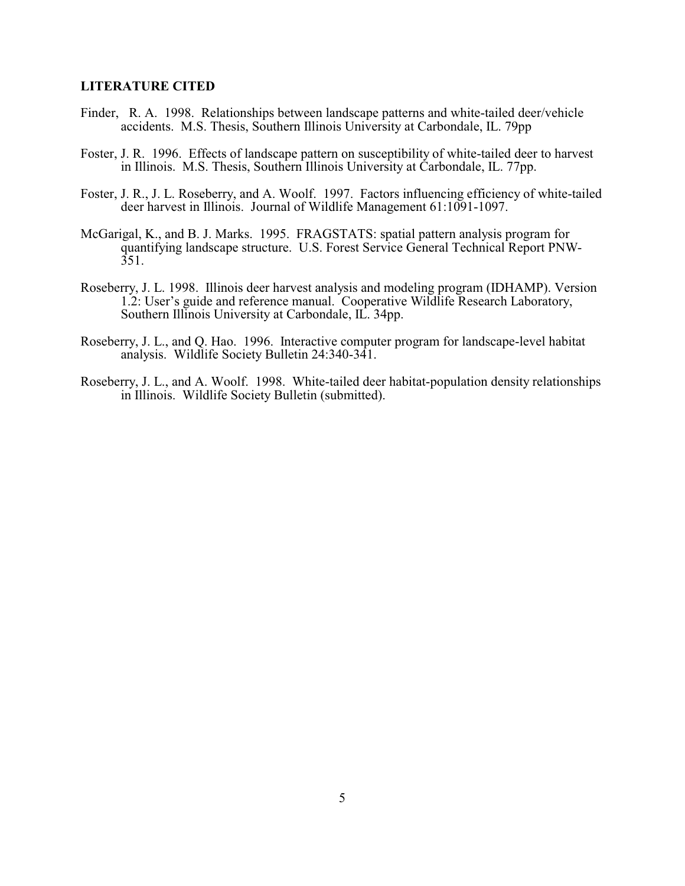#### **LITERATURE CITED**

- Finder, R. A. 1998. Relationships between landscape patterns and white-tailed deer/vehicle accidents. M.S. Thesis, Southern Illinois University at Carbondale, IL. 79pp
- Foster, J. R. 1996. Effects of landscape pattern on susceptibility of white-tailed deer to harvest in Illinois. M.S. Thesis, Southern Illinois University at Carbondale, IL. 77pp.
- Foster, J. R., J. L. Roseberry, and A. Woolf. 1997. Factors influencing efficiency of white-tailed deer harvest in Illinois. Journal of Wildlife Management 61:1091-1097.
- McGarigal, K., and B. J. Marks. 1995. FRAGSTATS: spatial pattern analysis program for quantifying landscape structure. U.S. Forest Service General Technical Report PNW- $351.$
- Roseberry, J. L. 1998. Illinois deer harvest analysis and modeling program (IDHAMP). Version 1.2: User's guide and reference manual. Cooperative Wildlife Research Laboratory, Southern Illinois University at Carbondale, IL. 34pp.
- Roseberry, J. L., and Q. Hao. 1996. Interactive computer program for landscape-level habitat analysis. Wildlife Society Bulletin 24:340-341.
- Roseberry, J. L., and A. Woolf. 1998. White-tailed deer habitat-population density relationships in Illinois. Wildlife Society Bulletin (submitted).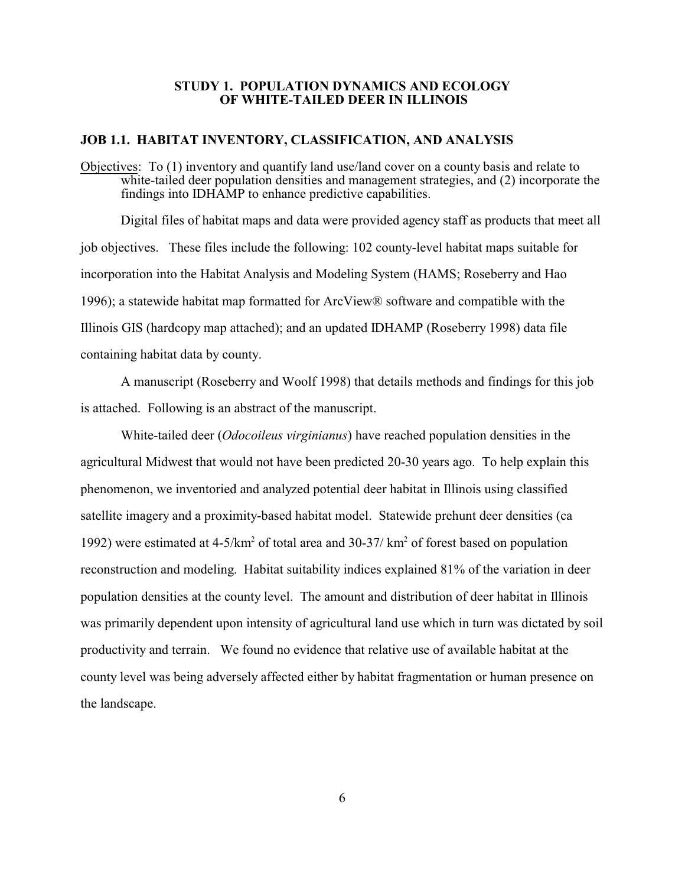#### **STUDY 1. POPULATION DYNAMICS AND ECOLOGY OF WHITE-TAILED DEER IN ILLINOIS**

#### **JOB 1.1. HABITAT INVENTORY, CLASSIFICATION, AND ANALYSIS**

Objectives: To (1) inventory and quantify land use/land cover on a county basis and relate to white-tailed deer population densities and management strategies, and (2) incorporate the findings into IDHAMP to enhance predictive capabilities.

Digital files of habitat maps and data were provided agency staff as products that meet all job objectives. These files include the following: 102 county-level habitat maps suitable for incorporation into the Habitat Analysis and Modeling System (HAMS; Roseberry and Hao 1996); a statewide habitat map formatted for ArcView® software and compatible with the Illinois GIS (hardcopy map attached); and an updated IDHAMP (Roseberry 1998) data file containing habitat data by county.

A manuscript (Roseberry and Woolf 1998) that details methods and findings for this job is attached. Following is an abstract of the manuscript.

White-tailed deer (*Odocoileus virginianus*) have reached population densities in the agricultural Midwest that would not have been predicted 20-30 years ago. To help explain this phenomenon, we inventoried and analyzed potential deer habitat in Illinois using classified satellite imagery and a proximity-based habitat model. Statewide prehunt deer densities (ca 1992) were estimated at  $4-5/km^2$  of total area and  $30-37/km^2$  of forest based on population reconstruction and modeling. Habitat suitability indices explained 81% of the variation in deer population densities at the county level. The amount and distribution of deer habitat in Illinois was primarily dependent upon intensity of agricultural land use which in turn was dictated by soil productivity and terrain. We found no evidence that relative use of available habitat at the county level was being adversely affected either by habitat fragmentation or human presence on the landscape.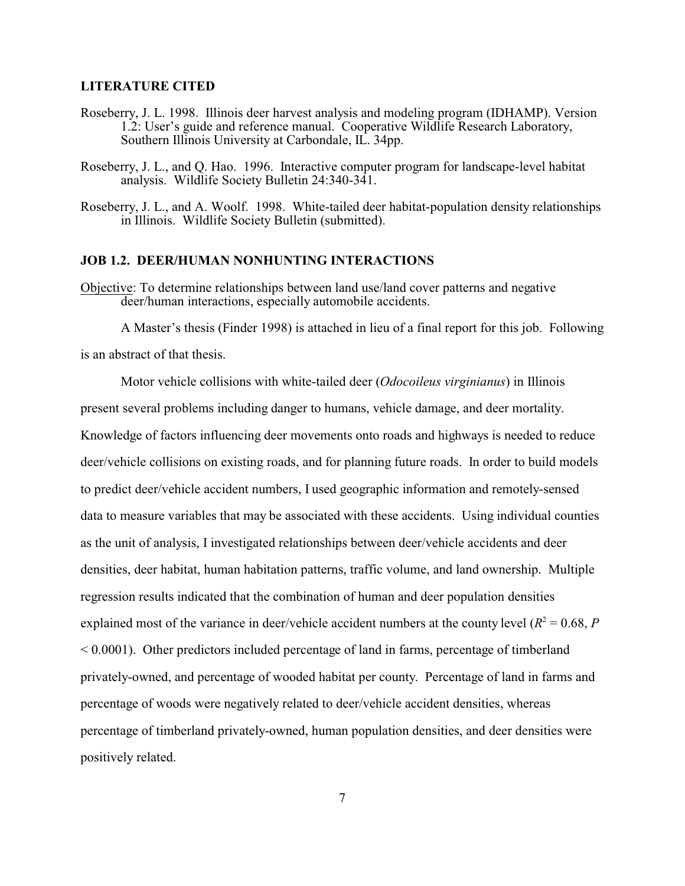#### **LITERATURE CITED**

- Roseberry, J. L. 1998. Illinois deer harvest analysis and modeling program (IDHAMP). Version 1.2: User's guide and reference manual. Cooperative Wildlife Research Laboratory, Southern Illinois University at Carbondale, IL. 34pp.
- Roseberry, J. L., and Q. Hao. 1996. Interactive computer program for landscape-level habitat analysis. Wildlife Society Bulletin 24:340-341.
- Roseberry, J. L., and A. Woolf. 1998. White-tailed deer habitat-population density relationships in Illinois. Wildlife Society Bulletin (submitted).

#### **JOB 1.2. DEER/HUMAN NONHUNTING INTERACTIONS**

Objective: To determine relationships between land use/land cover patterns and negative deer/human interactions, especially automobile accidents.

A Master's thesis (Finder 1998) is attached in lieu of a final report for this job. Following is an abstract of that thesis.

Motor vehicle collisions with white-tailed deer (*Odocoileus virginianus*) in Illinois present several problems including danger to humans, vehicle damage, and deer mortality. Knowledge of factors influencing deer movements onto roads and highways is needed to reduce deer/vehicle collisions on existing roads, and for planning future roads. In order to build models to predict deer/vehicle accident numbers, I used geographic information and remotely-sensed data to measure variables that may be associated with these accidents. Using individual counties as the unit of analysis, I investigated relationships between deer/vehicle accidents and deer densities, deer habitat, human habitation patterns, traffic volume, and land ownership. Multiple regression results indicated that the combination of human and deer population densities explained most of the variance in deer/vehicle accident numbers at the county level  $(R^2 = 0.68, P)$ < 0.0001). Other predictors included percentage of land in farms, percentage of timberland privately-owned, and percentage of wooded habitat per county. Percentage of land in farms and percentage of woods were negatively related to deer/vehicle accident densities, whereas percentage of timberland privately-owned, human population densities, and deer densities were positively related.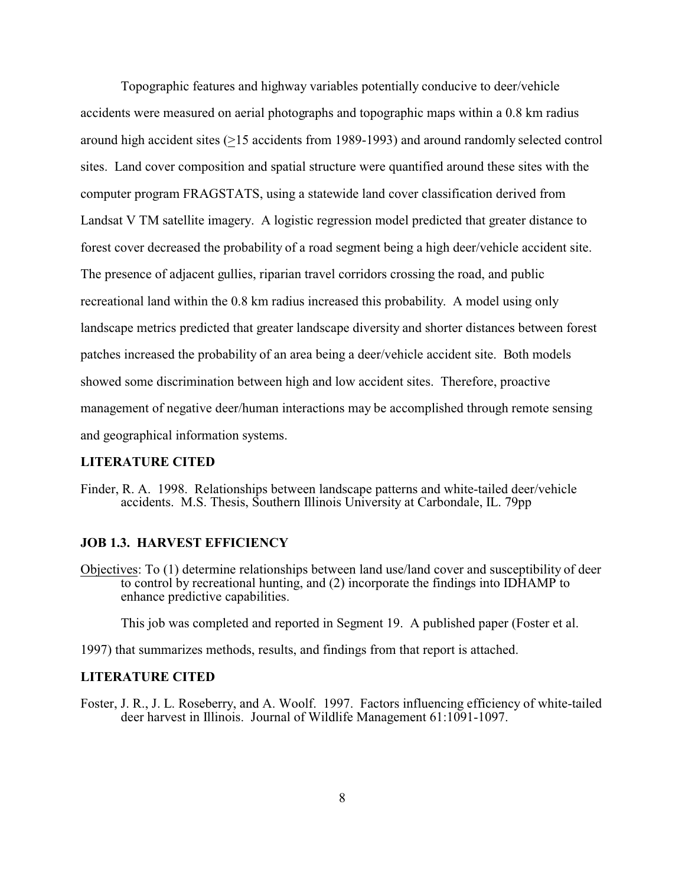Topographic features and highway variables potentially conducive to deer/vehicle accidents were measured on aerial photographs and topographic maps within a 0.8 km radius around high accident sites (>15 accidents from 1989-1993) and around randomly selected control sites. Land cover composition and spatial structure were quantified around these sites with the computer program FRAGSTATS, using a statewide land cover classification derived from Landsat V TM satellite imagery. A logistic regression model predicted that greater distance to forest cover decreased the probability of a road segment being a high deer/vehicle accident site. The presence of adjacent gullies, riparian travel corridors crossing the road, and public recreational land within the 0.8 km radius increased this probability. A model using only landscape metrics predicted that greater landscape diversity and shorter distances between forest patches increased the probability of an area being a deer/vehicle accident site. Both models showed some discrimination between high and low accident sites. Therefore, proactive management of negative deer/human interactions may be accomplished through remote sensing and geographical information systems.

#### **LITERATURE CITED**

Finder, R. A. 1998. Relationships between landscape patterns and white-tailed deer/vehicle accidents. M.S. Thesis, Southern Illinois University at Carbondale, IL. 79pp

#### **JOB 1.3. HARVEST EFFICIENCY**

Objectives: To (1) determine relationships between land use/land cover and susceptibility of deer to control by recreational hunting, and (2) incorporate the findings into IDHAMP to enhance predictive capabilities.

This job was completed and reported in Segment 19. A published paper (Foster et al.

1997) that summarizes methods, results, and findings from that report is attached.

#### **LITERATURE CITED**

Foster, J. R., J. L. Roseberry, and A. Woolf. 1997. Factors influencing efficiency of white-tailed deer harvest in Illinois. Journal of Wildlife Management 61:1091-1097.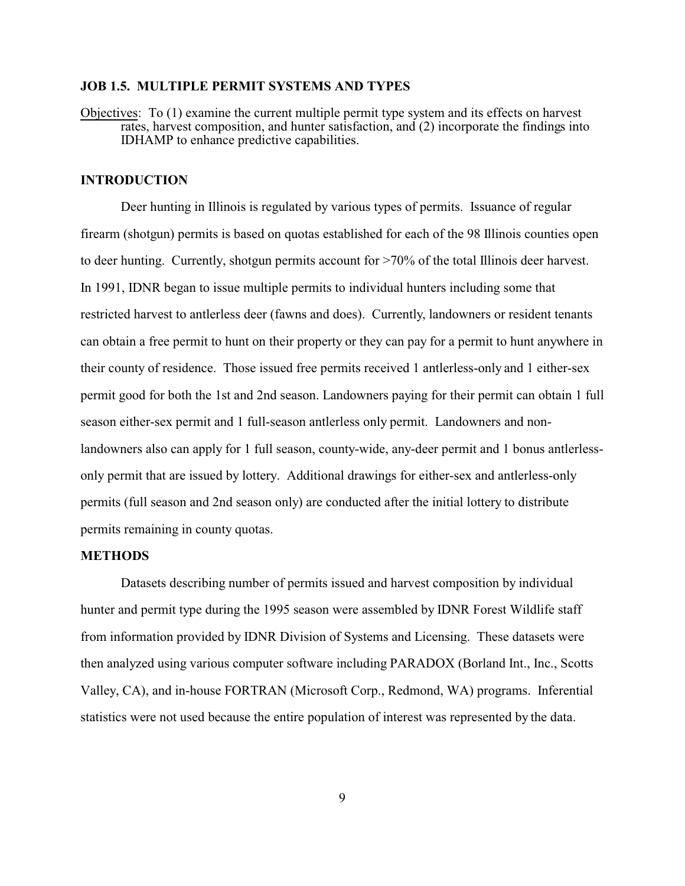#### **JOB 1.5. MULTIPLE PERMIT SYSTEMS AND TYPES**

Objectives: To (1) examine the current multiple permit type system and its effects on harvest rates, harvest composition, and hunter satisfaction, and (2) incorporate the findings into IDHAMP to enhance predictive capabilities.

#### **INTRODUCTION**

Deer hunting in Illinois is regulated by various types of permits. Issuance of regular firearm (shotgun) permits is based on quotas established for each of the 98 Illinois counties open to deer hunting. Currently, shotgun permits account for >70% of the total Illinois deer harvest. In 1991, IDNR began to issue multiple permits to individual hunters including some that restricted harvest to antlerless deer (fawns and does). Currently, landowners or resident tenants can obtain a free permit to hunt on their property or they can pay for a permit to hunt anywhere in their county of residence. Those issued free permits received 1 antlerless-only and 1 either-sex permit good for both the 1st and 2nd season. Landowners paying for their permit can obtain 1 full season either-sex permit and 1 full-season antlerless only permit. Landowners and nonlandowners also can apply for 1 full season, county-wide, any-deer permit and 1 bonus antlerlessonly permit that are issued by lottery. Additional drawings for either-sex and antlerless-only permits (full season and 2nd season only) are conducted after the initial lottery to distribute permits remaining in county quotas.

#### **METHODS**

Datasets describing number of permits issued and harvest composition by individual hunter and permit type during the 1995 season were assembled by IDNR Forest Wildlife staff from information provided by IDNR Division of Systems and Licensing. These datasets were then analyzed using various computer software including PARADOX (Borland Int., Inc., Scotts Valley, CA), and in-house FORTRAN (Microsoft Corp., Redmond, WA) programs. Inferential statistics were not used because the entire population of interest was represented by the data.

9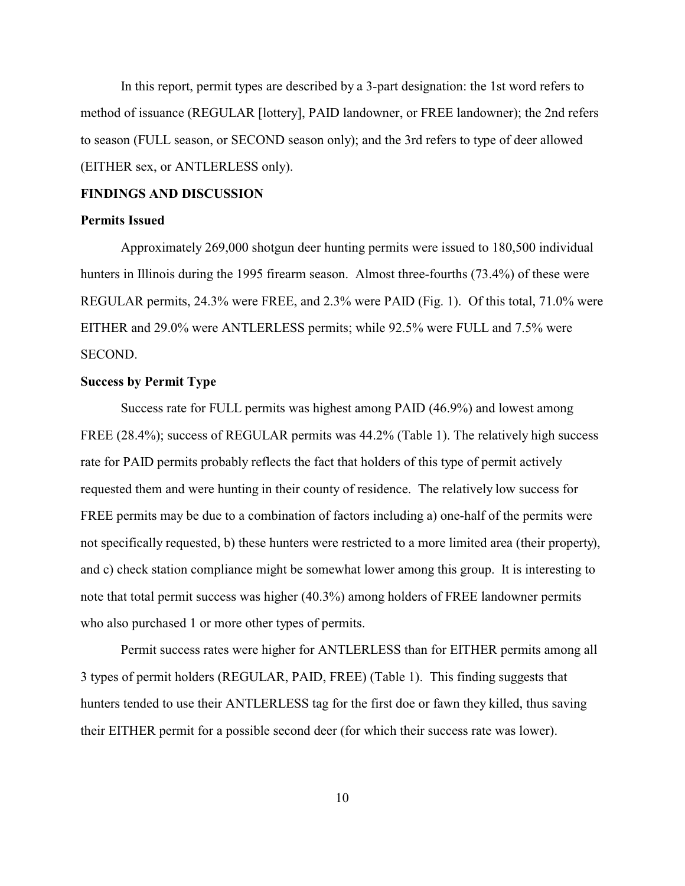In this report, permit types are described by a 3-part designation: the 1st word refers to method of issuance (REGULAR [lottery], PAID landowner, or FREE landowner); the 2nd refers to season (FULL season, or SECOND season only); and the 3rd refers to type of deer allowed (EITHER sex, or ANTLERLESS only).

#### **FINDINGS AND DISCUSSION**

#### **Permits Issued**

Approximately 269,000 shotgun deer hunting permits were issued to 180,500 individual hunters in Illinois during the 1995 firearm season. Almost three-fourths (73.4%) of these were REGULAR permits, 24.3% were FREE, and 2.3% were PAID (Fig. 1). Of this total, 71.0% were EITHER and 29.0% were ANTLERLESS permits; while 92.5% were FULL and 7.5% were SECOND.

#### **Success by Permit Type**

Success rate for FULL permits was highest among PAID (46.9%) and lowest among FREE (28.4%); success of REGULAR permits was 44.2% (Table 1). The relatively high success rate for PAID permits probably reflects the fact that holders of this type of permit actively requested them and were hunting in their county of residence. The relatively low success for FREE permits may be due to a combination of factors including a) one-half of the permits were not specifically requested, b) these hunters were restricted to a more limited area (their property), and c) check station compliance might be somewhat lower among this group. It is interesting to note that total permit success was higher (40.3%) among holders of FREE landowner permits who also purchased 1 or more other types of permits.

Permit success rates were higher for ANTLERLESS than for EITHER permits among all 3 types of permit holders (REGULAR, PAID, FREE) (Table 1). This finding suggests that hunters tended to use their ANTLERLESS tag for the first doe or fawn they killed, thus saving their EITHER permit for a possible second deer (for which their success rate was lower).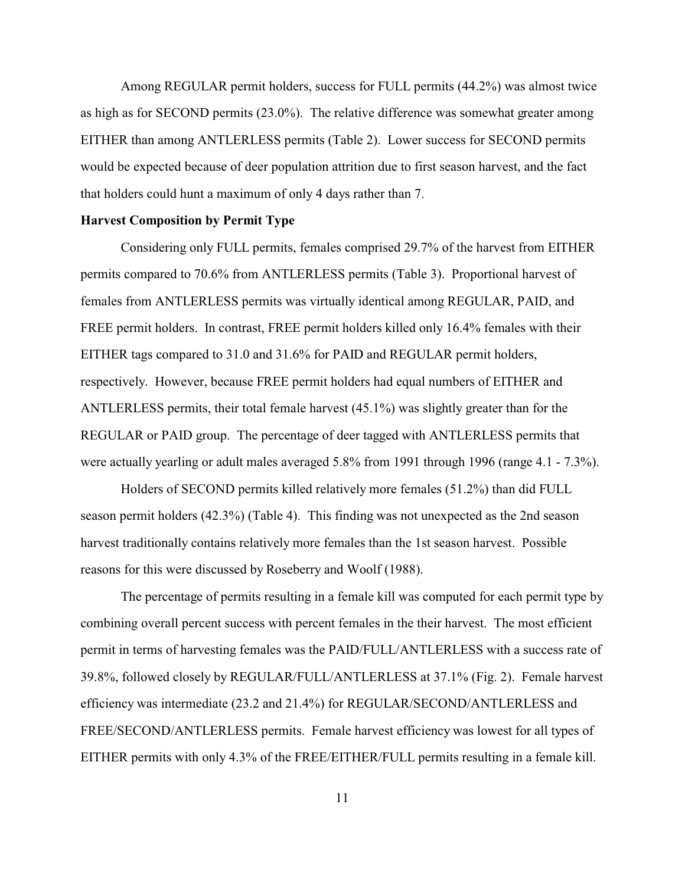Among REGULAR permit holders, success for FULL permits (44.2%) was almost twice as high as for SECOND permits (23.0%). The relative difference was somewhat greater among EITHER than among ANTLERLESS permits (Table 2). Lower success for SECOND permits would be expected because of deer population attrition due to first season harvest, and the fact that holders could hunt a maximum of only 4 days rather than 7.

#### **Harvest Composition by Permit Type**

Considering only FULL permits, females comprised 29.7% of the harvest from EITHER permits compared to 70.6% from ANTLERLESS permits (Table 3). Proportional harvest of females from ANTLERLESS permits was virtually identical among REGULAR, PAID, and FREE permit holders. In contrast, FREE permit holders killed only 16.4% females with their EITHER tags compared to 31.0 and 31.6% for PAID and REGULAR permit holders, respectively. However, because FREE permit holders had equal numbers of EITHER and ANTLERLESS permits, their total female harvest (45.1%) was slightly greater than for the REGULAR or PAID group. The percentage of deer tagged with ANTLERLESS permits that were actually yearling or adult males averaged 5.8% from 1991 through 1996 (range 4.1 - 7.3%).

Holders of SECOND permits killed relatively more females (51.2%) than did FULL season permit holders (42.3%) (Table 4). This finding was not unexpected as the 2nd season harvest traditionally contains relatively more females than the 1st season harvest. Possible reasons for this were discussed by Roseberry and Woolf (1988).

The percentage of permits resulting in a female kill was computed for each permit type by combining overall percent success with percent females in the their harvest. The most efficient permit in terms of harvesting females was the PAID/FULL/ANTLERLESS with a success rate of 39.8%, followed closely by REGULAR/FULL/ANTLERLESS at 37.1% (Fig. 2). Female harvest efficiency was intermediate (23.2 and 21.4%) for REGULAR/SECOND/ANTLERLESS and FREE/SECOND/ANTLERLESS permits. Female harvest efficiency was lowest for all types of EITHER permits with only 4.3% of the FREE/EITHER/FULL permits resulting in a female kill.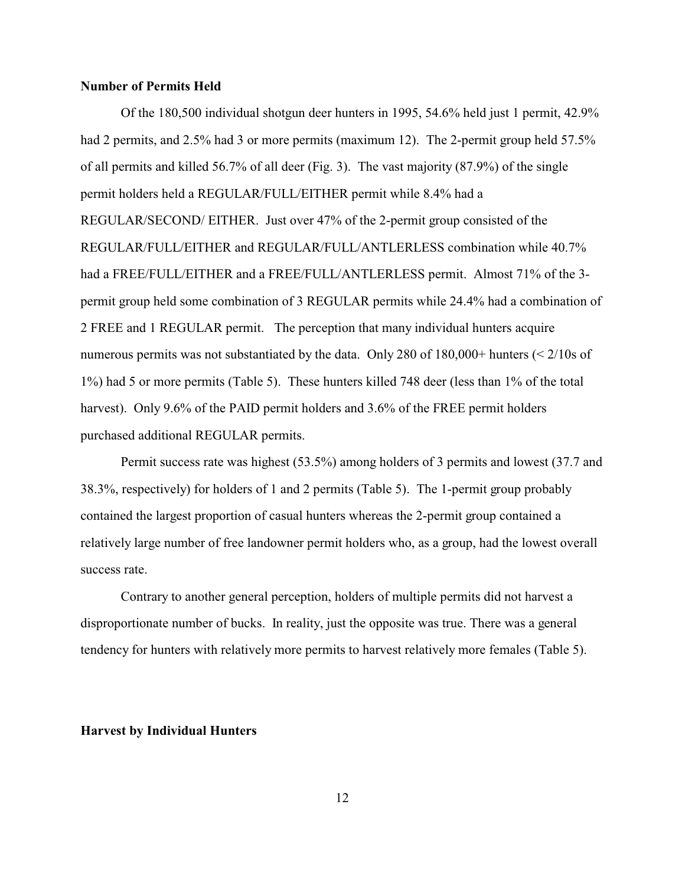#### **Number of Permits Held**

Of the 180,500 individual shotgun deer hunters in 1995, 54.6% held just 1 permit, 42.9% had 2 permits, and 2.5% had 3 or more permits (maximum 12). The 2-permit group held 57.5% of all permits and killed 56.7% of all deer (Fig. 3). The vast majority (87.9%) of the single permit holders held a REGULAR/FULL/EITHER permit while 8.4% had a REGULAR/SECOND/ EITHER. Just over 47% of the 2-permit group consisted of the REGULAR/FULL/EITHER and REGULAR/FULL/ANTLERLESS combination while 40.7% had a FREE/FULL/EITHER and a FREE/FULL/ANTLERLESS permit. Almost 71% of the 3 permit group held some combination of 3 REGULAR permits while 24.4% had a combination of 2 FREE and 1 REGULAR permit. The perception that many individual hunters acquire numerous permits was not substantiated by the data. Only 280 of 180,000+ hunters (< 2/10s of 1%) had 5 or more permits (Table 5). These hunters killed 748 deer (less than 1% of the total harvest). Only 9.6% of the PAID permit holders and 3.6% of the FREE permit holders purchased additional REGULAR permits.

Permit success rate was highest (53.5%) among holders of 3 permits and lowest (37.7 and 38.3%, respectively) for holders of 1 and 2 permits (Table 5). The 1-permit group probably contained the largest proportion of casual hunters whereas the 2-permit group contained a relatively large number of free landowner permit holders who, as a group, had the lowest overall success rate.

Contrary to another general perception, holders of multiple permits did not harvest a disproportionate number of bucks. In reality, just the opposite was true. There was a general tendency for hunters with relatively more permits to harvest relatively more females (Table 5).

#### **Harvest by Individual Hunters**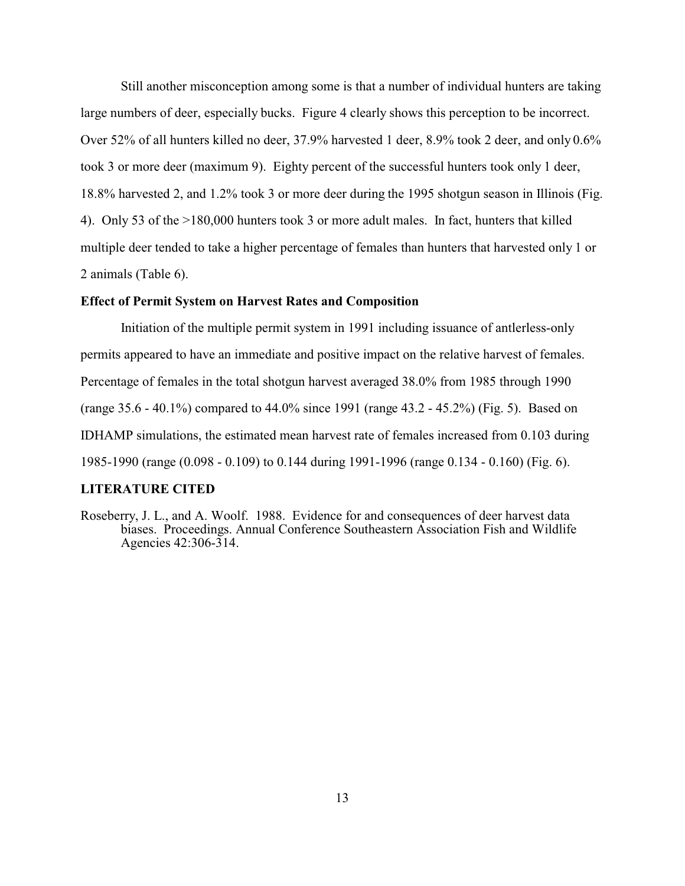Still another misconception among some is that a number of individual hunters are taking large numbers of deer, especially bucks. Figure 4 clearly shows this perception to be incorrect. Over 52% of all hunters killed no deer, 37.9% harvested 1 deer, 8.9% took 2 deer, and only 0.6% took 3 or more deer (maximum 9). Eighty percent of the successful hunters took only 1 deer, 18.8% harvested 2, and 1.2% took 3 or more deer during the 1995 shotgun season in Illinois (Fig. 4). Only 53 of the >180,000 hunters took 3 or more adult males. In fact, hunters that killed multiple deer tended to take a higher percentage of females than hunters that harvested only 1 or 2 animals (Table 6).

#### **Effect of Permit System on Harvest Rates and Composition**

Initiation of the multiple permit system in 1991 including issuance of antlerless-only permits appeared to have an immediate and positive impact on the relative harvest of females. Percentage of females in the total shotgun harvest averaged 38.0% from 1985 through 1990 (range 35.6 - 40.1%) compared to 44.0% since 1991 (range 43.2 - 45.2%) (Fig. 5). Based on IDHAMP simulations, the estimated mean harvest rate of females increased from 0.103 during 1985-1990 (range (0.098 - 0.109) to 0.144 during 1991-1996 (range 0.134 - 0.160) (Fig. 6).

#### **LITERATURE CITED**

Roseberry, J. L., and A. Woolf. 1988. Evidence for and consequences of deer harvest data biases. Proceedings. Annual Conference Southeastern Association Fish and Wildlife Agencies 42:306-314.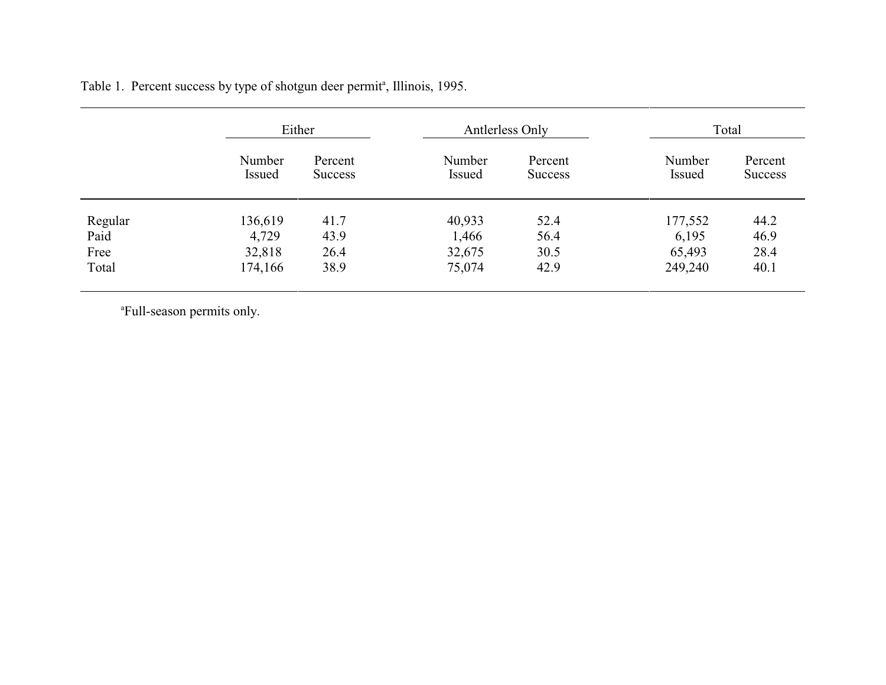|         | Either                  |                           | Antlerless Only  |                           | Total            |                           |
|---------|-------------------------|---------------------------|------------------|---------------------------|------------------|---------------------------|
|         | Number<br><b>Issued</b> | Percent<br><b>Success</b> | Number<br>Issued | Percent<br><b>Success</b> | Number<br>Issued | Percent<br><b>Success</b> |
| Regular | 136,619                 | 41.7                      | 40,933           | 52.4                      | 177,552          | 44.2                      |
| Paid    | 4,729                   | 43.9                      | 1,466            | 56.4                      | 6,195            | 46.9                      |
| Free    | 32,818                  | 26.4                      | 32,675           | 30.5                      | 65,493           | 28.4                      |
| Total   | 174,166                 | 38.9                      | 75,074           | 42.9                      | 249,240          | 40.1                      |

Table 1. Percent success by type of shotgun deer permit<sup>a</sup>, Illinois, 1995.

aFull-season permits only.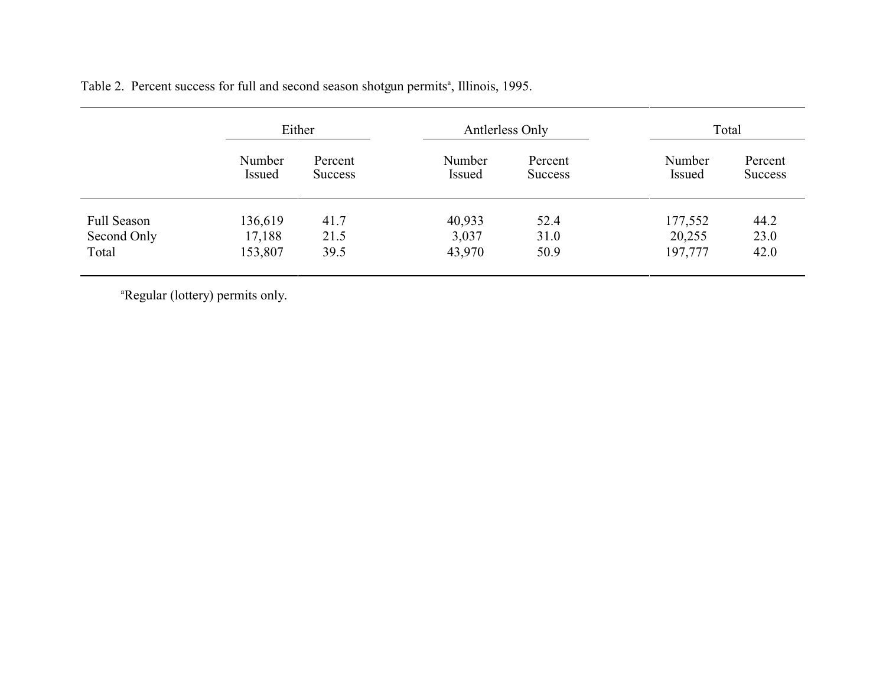| Either                  |                           | Antlerless Only  |                           | Total                   |                           |
|-------------------------|---------------------------|------------------|---------------------------|-------------------------|---------------------------|
| Number<br><b>Issued</b> | Percent<br><b>Success</b> | Number<br>Issued | Percent<br><b>Success</b> | Number<br><b>Issued</b> | Percent<br><b>Success</b> |
| 136,619                 | 41.7                      | 40,933           | 52.4                      |                         | 44.2                      |
| 17,188                  | 21.5                      | 3,037            | 31.0                      | 20,255                  | 23.0                      |
| 153,807                 | 39.5                      | 43,970           | 50.9                      | 197,777                 | 42.0                      |
|                         |                           |                  |                           |                         | 177,552                   |

Table 2. Percent success for full and second season shotgun permits<sup>a</sup>, Illinois, 1995.

<sup>a</sup>Regular (lottery) permits only.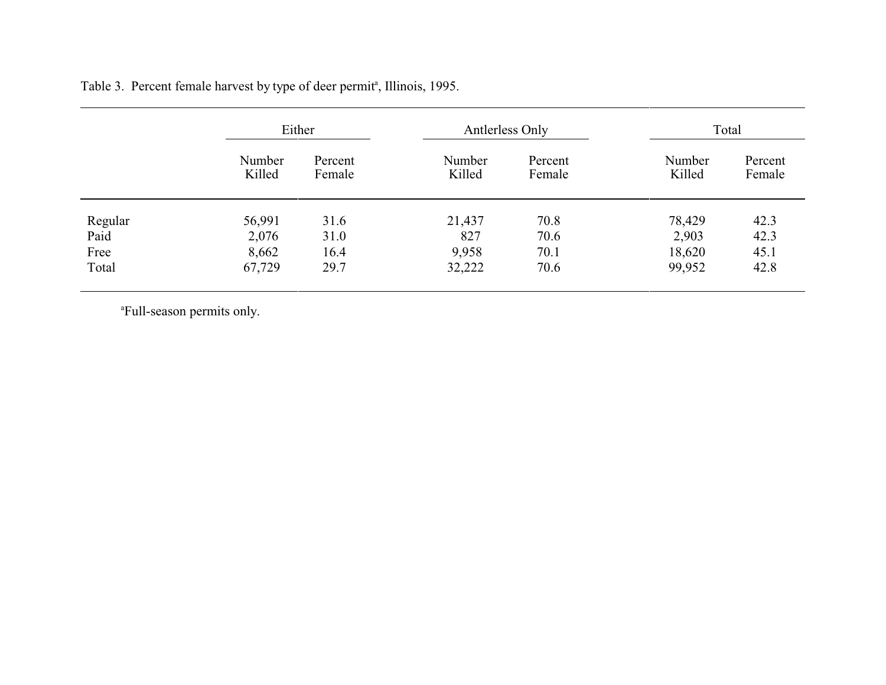|         | Either           |                   | Antlerless Only  |                   | Total            |                   |
|---------|------------------|-------------------|------------------|-------------------|------------------|-------------------|
|         | Number<br>Killed | Percent<br>Female | Number<br>Killed | Percent<br>Female | Number<br>Killed | Percent<br>Female |
| Regular | 56,991           | 31.6              | 21,437           | 70.8              | 78,429           | 42.3              |
| Paid    | 2,076            | 31.0              | 827              | 70.6              | 2,903            | 42.3              |
| Free    | 8,662            | 16.4              | 9,958            | 70.1              | 18,620           | 45.1              |
| Total   | 67,729           | 29.7              | 32,222           | 70.6              | 99,952           | 42.8              |

Table 3. Percent female harvest by type of deer permit<sup>a</sup>, Illinois, 1995.

aFull-season permits only.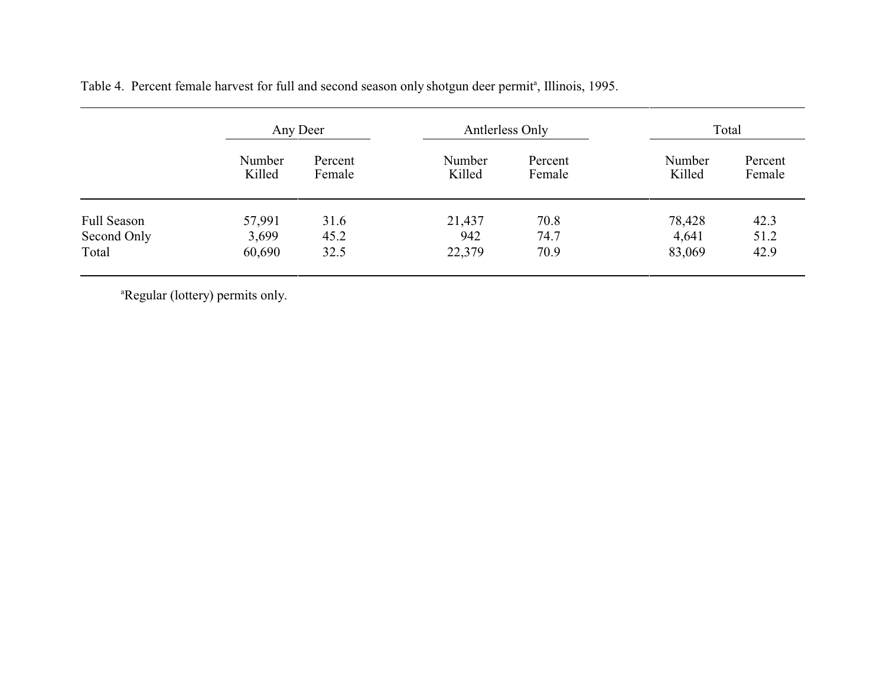|                    |                  | Any Deer          |                  | Antlerless Only   |                  | Total             |  |
|--------------------|------------------|-------------------|------------------|-------------------|------------------|-------------------|--|
|                    | Number<br>Killed | Percent<br>Female | Number<br>Killed | Percent<br>Female | Number<br>Killed | Percent<br>Female |  |
| <b>Full Season</b> | 57,991           | 31.6              | 21,437           | 70.8              | 78,428           | 42.3              |  |
| Second Only        | 3,699            | 45.2              | 942              | 74.7              | 4,641            | 51.2              |  |
| Total              | 60,690           | 32.5              | 22,379           | 70.9              | 83,069           | 42.9              |  |
|                    |                  |                   |                  |                   |                  |                   |  |

Table 4. Percent female harvest for full and second season only shotgun deer permit<sup>a</sup>, Illinois, 1995.

<sup>a</sup>Regular (lottery) permits only.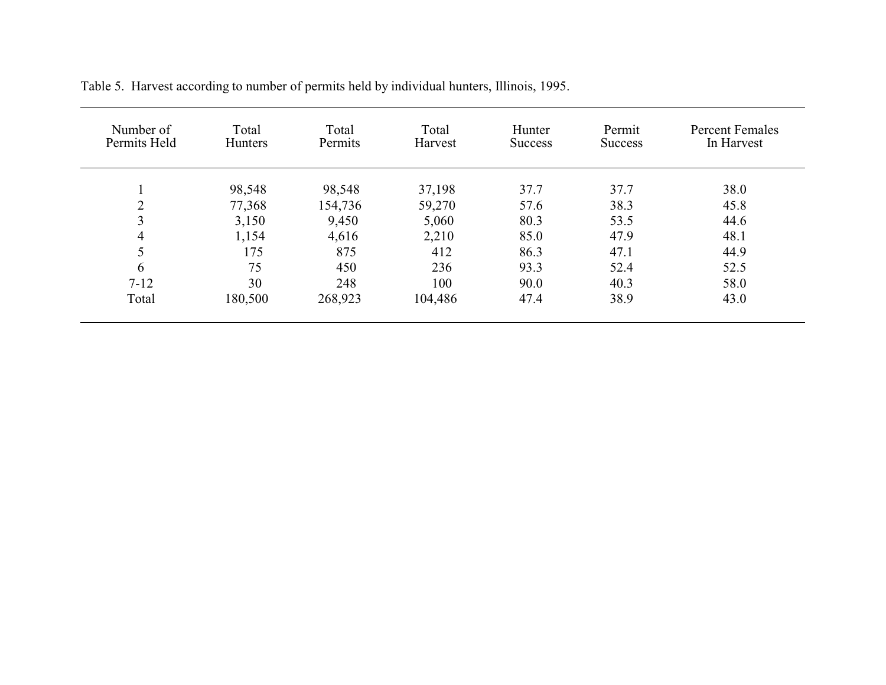| Number of<br>Permits Held | Total<br><b>Hunters</b> | Total<br>Permits | Total<br>Harvest | Hunter<br><b>Success</b> | Permit<br><b>Success</b> | <b>Percent Females</b><br>In Harvest |
|---------------------------|-------------------------|------------------|------------------|--------------------------|--------------------------|--------------------------------------|
|                           | 98,548                  | 98,548           | 37,198           | 37.7                     | 37.7                     | 38.0                                 |
| $\overline{2}$            | 77,368                  | 154,736          | 59,270           | 57.6                     | 38.3                     | 45.8                                 |
| 3                         | 3,150                   | 9,450            | 5,060            | 80.3                     | 53.5                     | 44.6                                 |
| $\overline{4}$            | 1,154                   | 4,616            | 2,210            | 85.0                     | 47.9                     | 48.1                                 |
| 5                         | 175                     | 875              | 412              | 86.3                     | 47.1                     | 44.9                                 |
| 6                         | 75                      | 450              | 236              | 93.3                     | 52.4                     | 52.5                                 |
| $7 - 12$                  | 30                      | 248              | 100              | 90.0                     | 40.3                     | 58.0                                 |
| Total                     | 180,500                 | 268,923          | 104,486          | 47.4                     | 38.9                     | 43.0                                 |

Table 5. Harvest according to number of permits held by individual hunters, Illinois, 1995.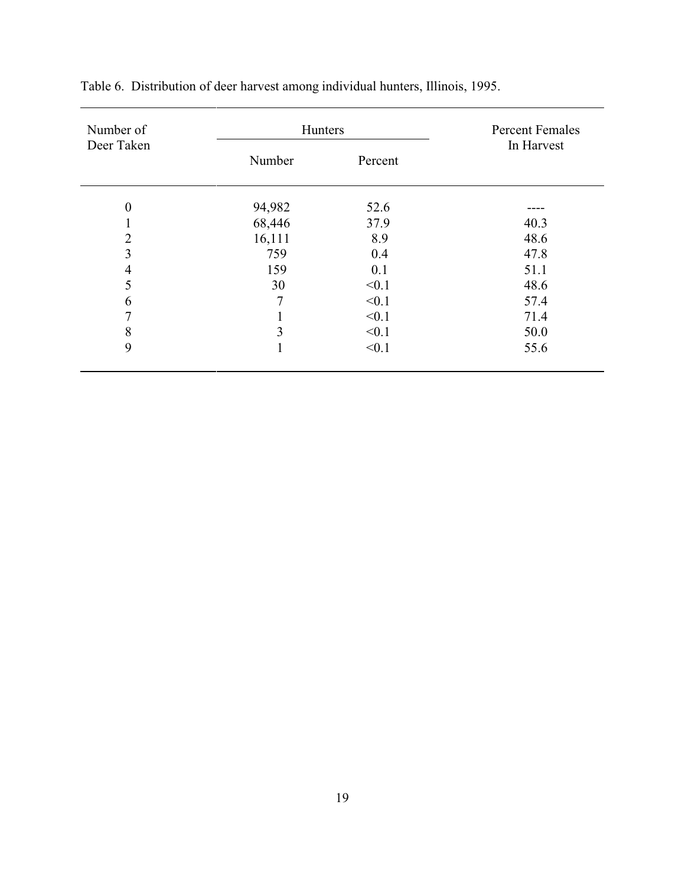| Number of        |                | Hunters |            |  |  |
|------------------|----------------|---------|------------|--|--|
| Deer Taken       | Number         | Percent | In Harvest |  |  |
| $\boldsymbol{0}$ | 94,982         | 52.6    |            |  |  |
| 1                | 68,446         | 37.9    | 40.3       |  |  |
| $\overline{2}$   | 16,111         | 8.9     | 48.6       |  |  |
| 3                | 759            | 0.4     | 47.8       |  |  |
| $\overline{4}$   | 159            | 0.1     | 51.1       |  |  |
| 5                | 30             | < 0.1   | 48.6       |  |  |
| 6                | $\overline{7}$ | < 0.1   | 57.4       |  |  |
| $\overline{7}$   | T              | < 0.1   | 71.4       |  |  |
| 8                | 3              | < 0.1   | 50.0       |  |  |
| 9                | 1              | < 0.1   | 55.6       |  |  |
|                  |                |         |            |  |  |

Table 6. Distribution of deer harvest among individual hunters, Illinois, 1995.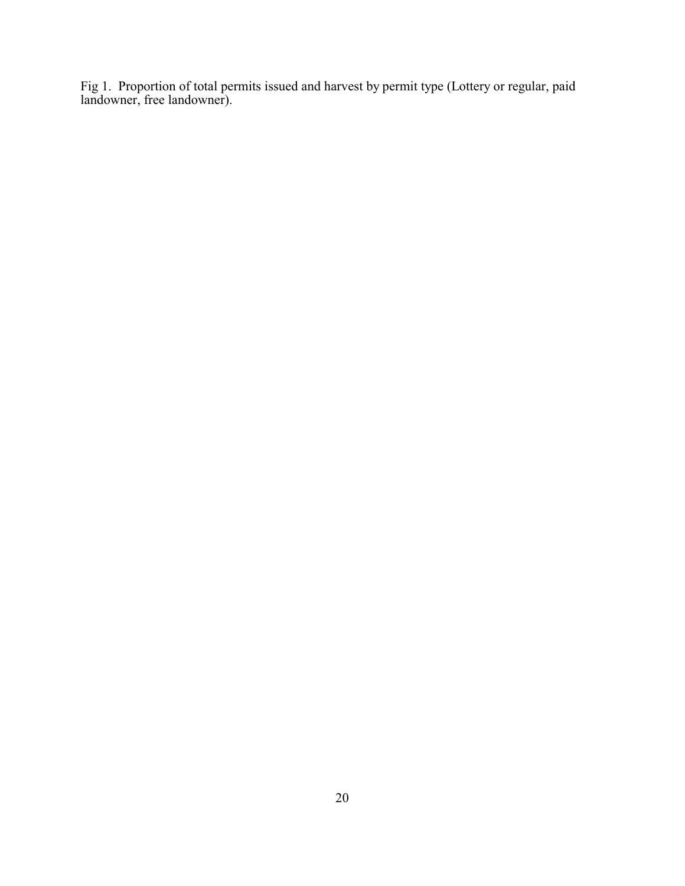Fig 1. Proportion of total permits issued and harvest by permit type (Lottery or regular, paid landowner, free landowner).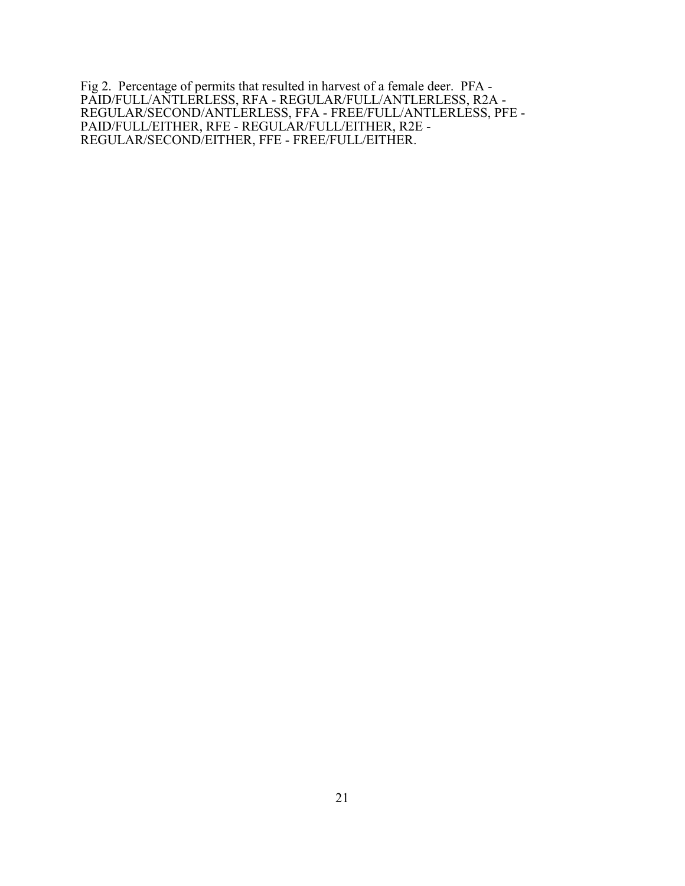Fig 2. Percentage of permits that resulted in harvest of a female deer. PFA - PAID/FULL/ANTLERLESS, RFA - REGULAR/FULL/ANTLERLESS, R2A - REGULAR/SECOND/ANTLERLESS, FFA - FREE/FULL/ANTLERLESS, PFE - PAID/FULL/EITHER, RFE - REGULAR/FULL/EITHER, R2E - REGULAR/SECOND/EITHER, FFE - FREE/FULL/EITHER.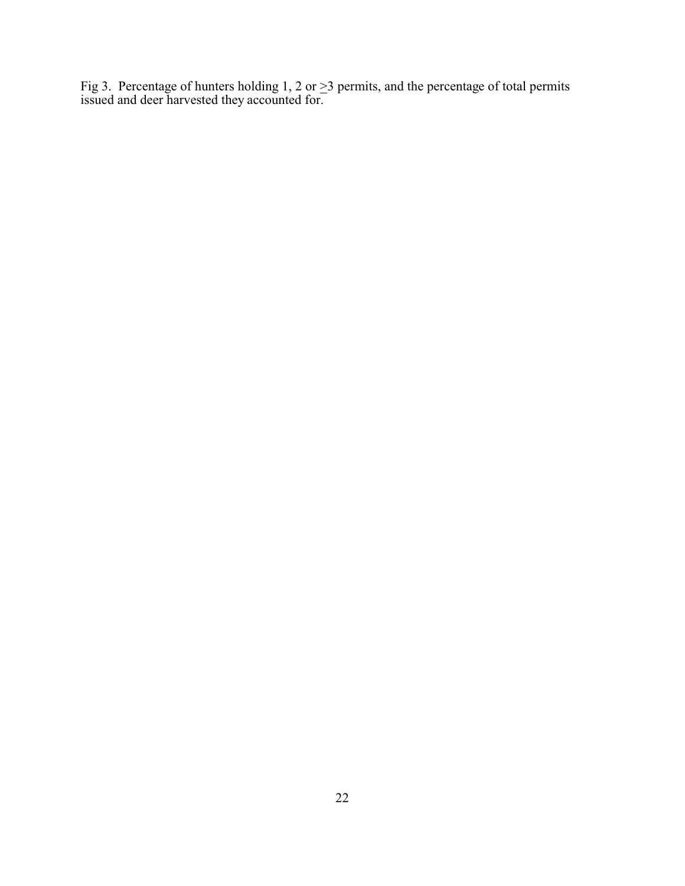Fig 3. Percentage of hunters holding 1, 2 or  $\geq$ 3 permits, and the percentage of total permits issued and deer harvested they accounted for.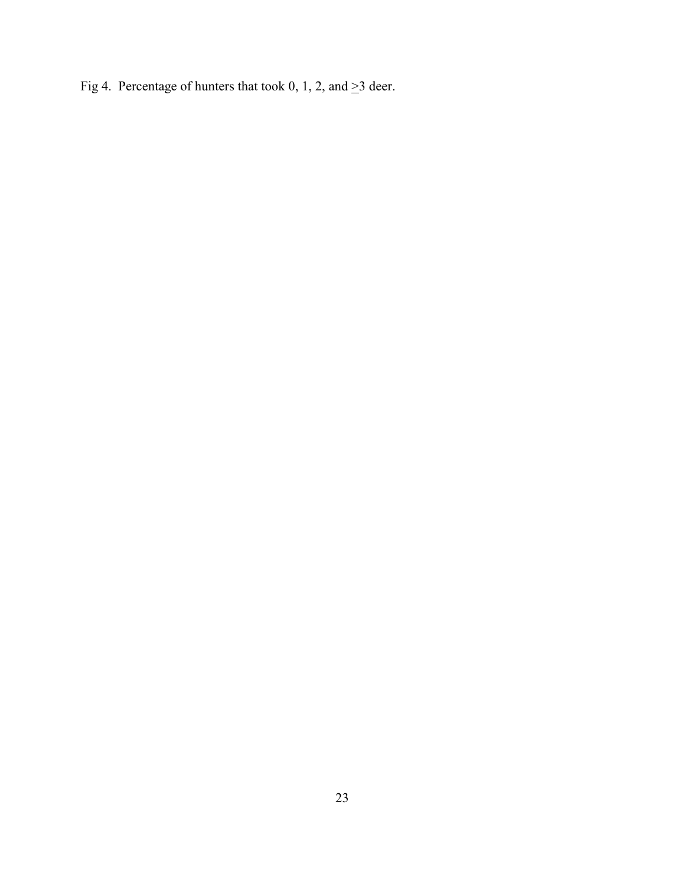Fig 4. Percentage of hunters that took 0, 1, 2, and  $\geq$ 3 deer.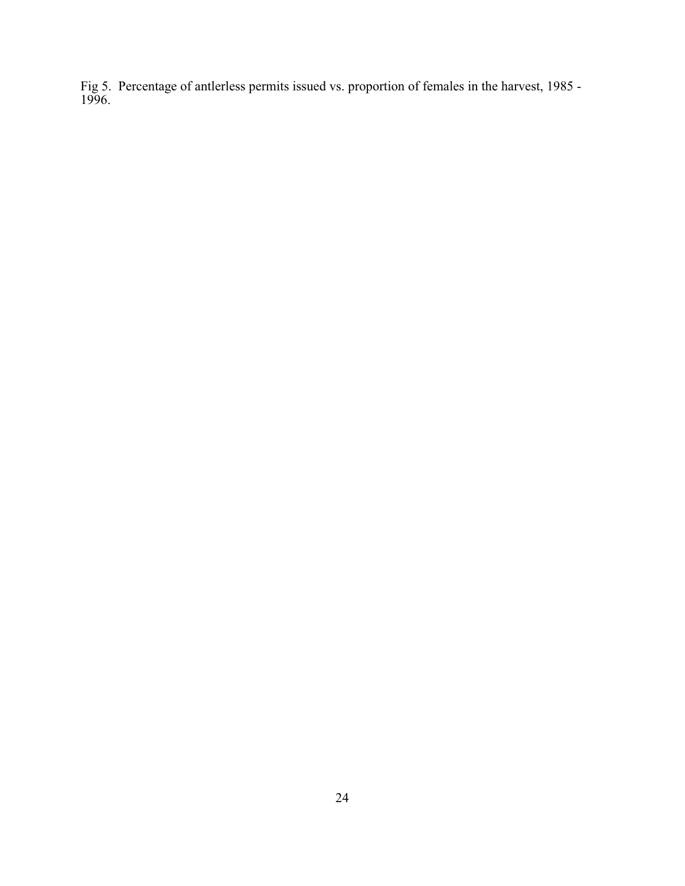Fig 5. Percentage of antlerless permits issued vs. proportion of females in the harvest, 1985 - 1996.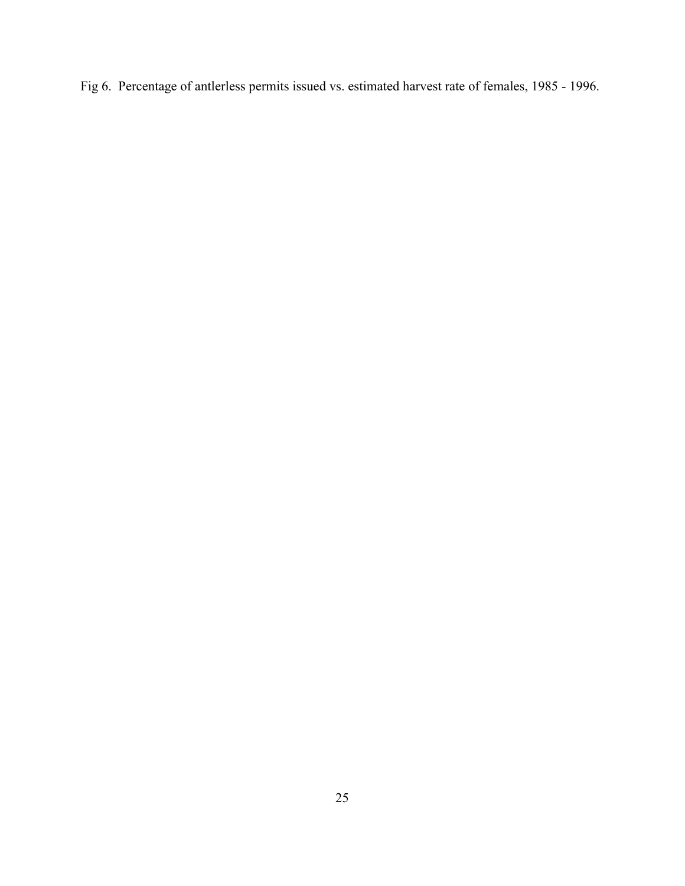Fig 6. Percentage of antlerless permits issued vs. estimated harvest rate of females, 1985 - 1996.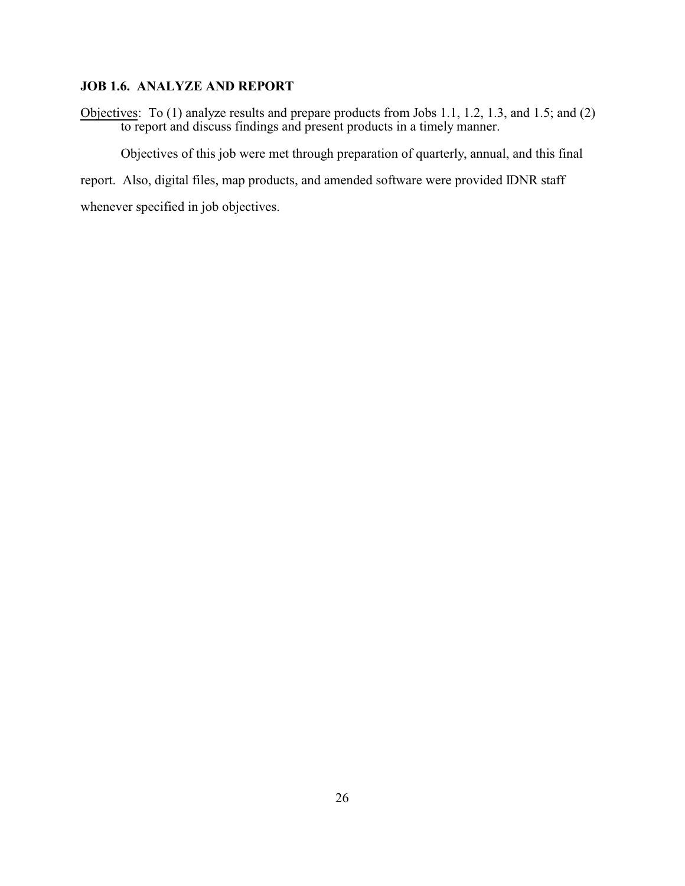#### **JOB 1.6. ANALYZE AND REPORT**

Objectives: To (1) analyze results and prepare products from Jobs 1.1, 1.2, 1.3, and 1.5; and (2) to report and discuss findings and present products in a timely manner.

Objectives of this job were met through preparation of quarterly, annual, and this final

report. Also, digital files, map products, and amended software were provided IDNR staff

whenever specified in job objectives.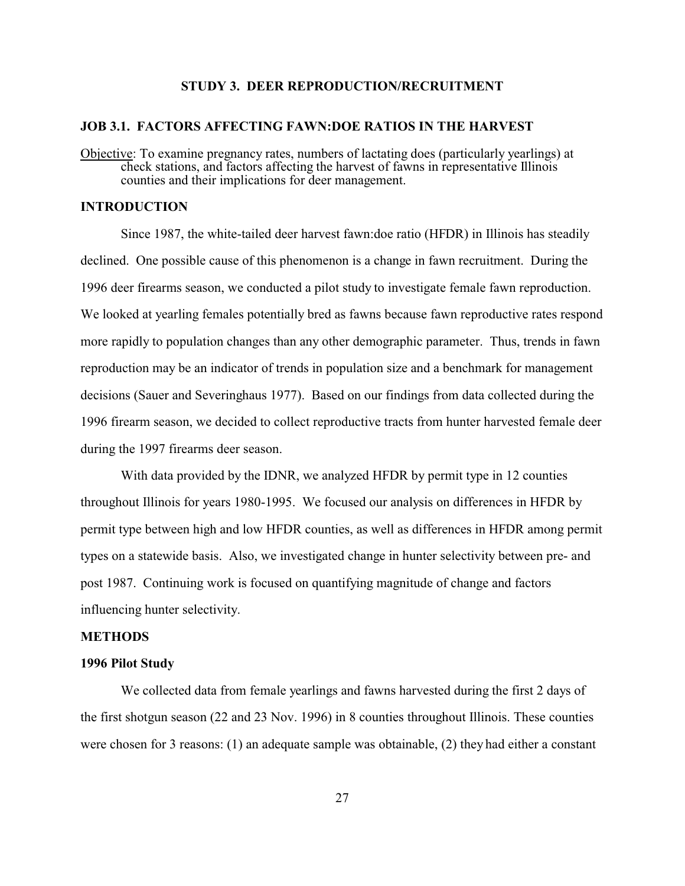#### **STUDY 3. DEER REPRODUCTION/RECRUITMENT**

#### **JOB 3.1. FACTORS AFFECTING FAWN:DOE RATIOS IN THE HARVEST**

Objective: To examine pregnancy rates, numbers of lactating does (particularly yearlings) at check stations, and factors affecting the harvest of fawns in representative Illinois counties and their implications for deer management.

#### **INTRODUCTION**

Since 1987, the white-tailed deer harvest fawn:doe ratio (HFDR) in Illinois has steadily declined. One possible cause of this phenomenon is a change in fawn recruitment. During the 1996 deer firearms season, we conducted a pilot study to investigate female fawn reproduction. We looked at yearling females potentially bred as fawns because fawn reproductive rates respond more rapidly to population changes than any other demographic parameter. Thus, trends in fawn reproduction may be an indicator of trends in population size and a benchmark for management decisions (Sauer and Severinghaus 1977). Based on our findings from data collected during the 1996 firearm season, we decided to collect reproductive tracts from hunter harvested female deer during the 1997 firearms deer season.

With data provided by the IDNR, we analyzed HFDR by permit type in 12 counties throughout Illinois for years 1980-1995. We focused our analysis on differences in HFDR by permit type between high and low HFDR counties, as well as differences in HFDR among permit types on a statewide basis. Also, we investigated change in hunter selectivity between pre- and post 1987. Continuing work is focused on quantifying magnitude of change and factors influencing hunter selectivity.

#### **METHODS**

### **1996 Pilot Study**

We collected data from female yearlings and fawns harvested during the first 2 days of the first shotgun season (22 and 23 Nov. 1996) in 8 counties throughout Illinois. These counties were chosen for 3 reasons: (1) an adequate sample was obtainable, (2) they had either a constant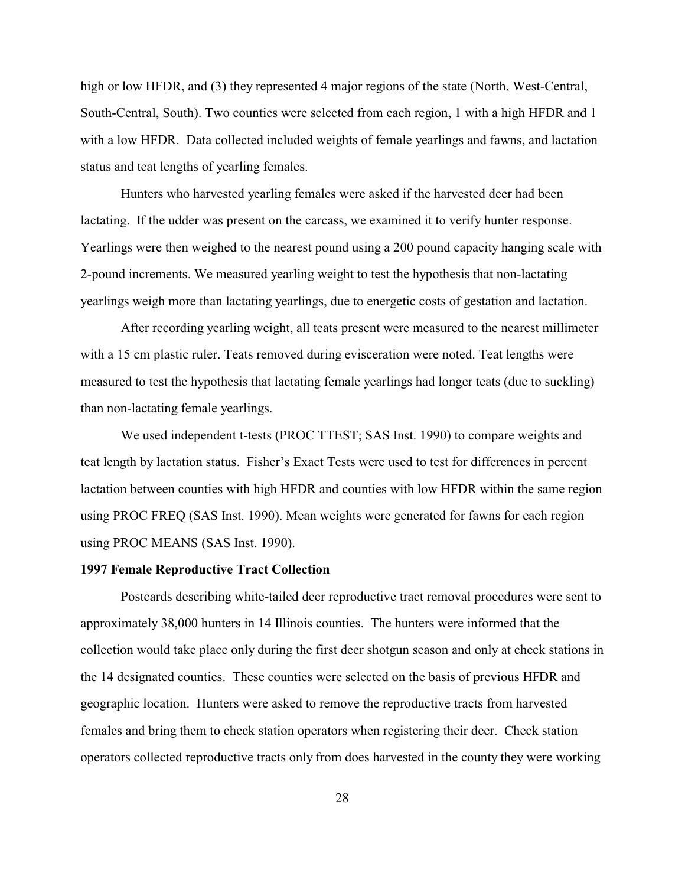high or low HFDR, and (3) they represented 4 major regions of the state (North, West-Central, South-Central, South). Two counties were selected from each region, 1 with a high HFDR and 1 with a low HFDR. Data collected included weights of female yearlings and fawns, and lactation status and teat lengths of yearling females.

Hunters who harvested yearling females were asked if the harvested deer had been lactating. If the udder was present on the carcass, we examined it to verify hunter response. Yearlings were then weighed to the nearest pound using a 200 pound capacity hanging scale with 2-pound increments. We measured yearling weight to test the hypothesis that non-lactating yearlings weigh more than lactating yearlings, due to energetic costs of gestation and lactation.

After recording yearling weight, all teats present were measured to the nearest millimeter with a 15 cm plastic ruler. Teats removed during evisceration were noted. Teat lengths were measured to test the hypothesis that lactating female yearlings had longer teats (due to suckling) than non-lactating female yearlings.

We used independent t-tests (PROC TTEST; SAS Inst. 1990) to compare weights and teat length by lactation status. Fisher's Exact Tests were used to test for differences in percent lactation between counties with high HFDR and counties with low HFDR within the same region using PROC FREQ (SAS Inst. 1990). Mean weights were generated for fawns for each region using PROC MEANS (SAS Inst. 1990).

#### **1997 Female Reproductive Tract Collection**

Postcards describing white-tailed deer reproductive tract removal procedures were sent to approximately 38,000 hunters in 14 Illinois counties. The hunters were informed that the collection would take place only during the first deer shotgun season and only at check stations in the 14 designated counties. These counties were selected on the basis of previous HFDR and geographic location. Hunters were asked to remove the reproductive tracts from harvested females and bring them to check station operators when registering their deer. Check station operators collected reproductive tracts only from does harvested in the county they were working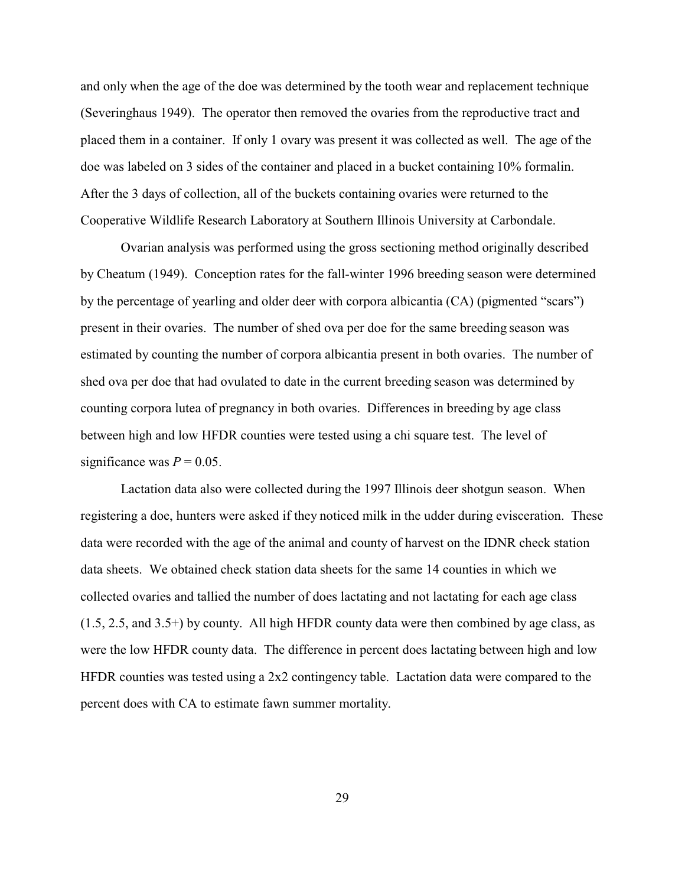and only when the age of the doe was determined by the tooth wear and replacement technique (Severinghaus 1949). The operator then removed the ovaries from the reproductive tract and placed them in a container. If only 1 ovary was present it was collected as well. The age of the doe was labeled on 3 sides of the container and placed in a bucket containing 10% formalin. After the 3 days of collection, all of the buckets containing ovaries were returned to the Cooperative Wildlife Research Laboratory at Southern Illinois University at Carbondale.

Ovarian analysis was performed using the gross sectioning method originally described by Cheatum (1949). Conception rates for the fall-winter 1996 breeding season were determined by the percentage of yearling and older deer with corpora albicantia (CA) (pigmented "scars") present in their ovaries. The number of shed ova per doe for the same breeding season was estimated by counting the number of corpora albicantia present in both ovaries. The number of shed ova per doe that had ovulated to date in the current breeding season was determined by counting corpora lutea of pregnancy in both ovaries. Differences in breeding by age class between high and low HFDR counties were tested using a chi square test. The level of significance was  $P = 0.05$ .

Lactation data also were collected during the 1997 Illinois deer shotgun season. When registering a doe, hunters were asked if they noticed milk in the udder during evisceration. These data were recorded with the age of the animal and county of harvest on the IDNR check station data sheets. We obtained check station data sheets for the same 14 counties in which we collected ovaries and tallied the number of does lactating and not lactating for each age class (1.5, 2.5, and 3.5+) by county. All high HFDR county data were then combined by age class, as were the low HFDR county data. The difference in percent does lactating between high and low HFDR counties was tested using a 2x2 contingency table. Lactation data were compared to the percent does with CA to estimate fawn summer mortality.

29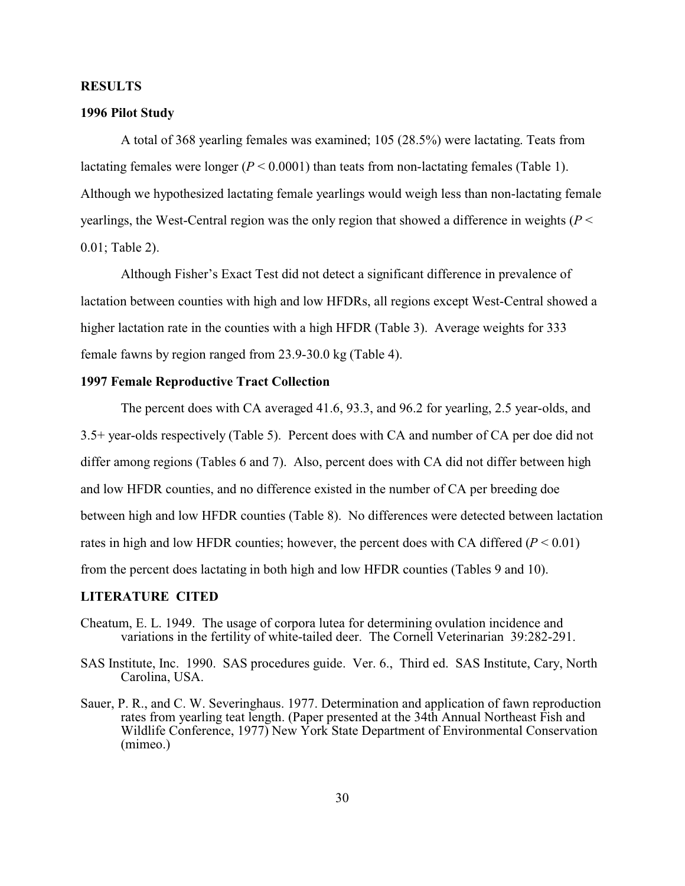#### **RESULTS**

#### **1996 Pilot Study**

A total of 368 yearling females was examined; 105 (28.5%) were lactating. Teats from lactating females were longer  $(P < 0.0001)$  than teats from non-lactating females (Table 1). Although we hypothesized lactating female yearlings would weigh less than non-lactating female yearlings, the West-Central region was the only region that showed a difference in weights (*P* < 0.01; Table 2).

Although Fisher's Exact Test did not detect a significant difference in prevalence of lactation between counties with high and low HFDRs, all regions except West-Central showed a higher lactation rate in the counties with a high HFDR (Table 3). Average weights for 333 female fawns by region ranged from 23.9-30.0 kg (Table 4).

#### **1997 Female Reproductive Tract Collection**

The percent does with CA averaged 41.6, 93.3, and 96.2 for yearling, 2.5 year-olds, and 3.5+ year-olds respectively (Table 5). Percent does with CA and number of CA per doe did not differ among regions (Tables 6 and 7). Also, percent does with CA did not differ between high and low HFDR counties, and no difference existed in the number of CA per breeding doe between high and low HFDR counties (Table 8). No differences were detected between lactation rates in high and low HFDR counties; however, the percent does with CA differed  $(P < 0.01)$ from the percent does lactating in both high and low HFDR counties (Tables 9 and 10).

#### **LITERATURE CITED**

- Cheatum, E. L. 1949. The usage of corpora lutea for determining ovulation incidence and variations in the fertility of white-tailed deer. The Cornell Veterinarian 39:282-291.
- SAS Institute, Inc. 1990. SAS procedures guide. Ver. 6., Third ed. SAS Institute, Cary, North Carolina, USA.
- Sauer, P. R., and C. W. Severinghaus. 1977. Determination and application of fawn reproduction rates from yearling teat length. (Paper presented at the 34th Annual Northeast Fish and Wildlife Conference, 1977) New York State Department of Environmental Conservation (mimeo.)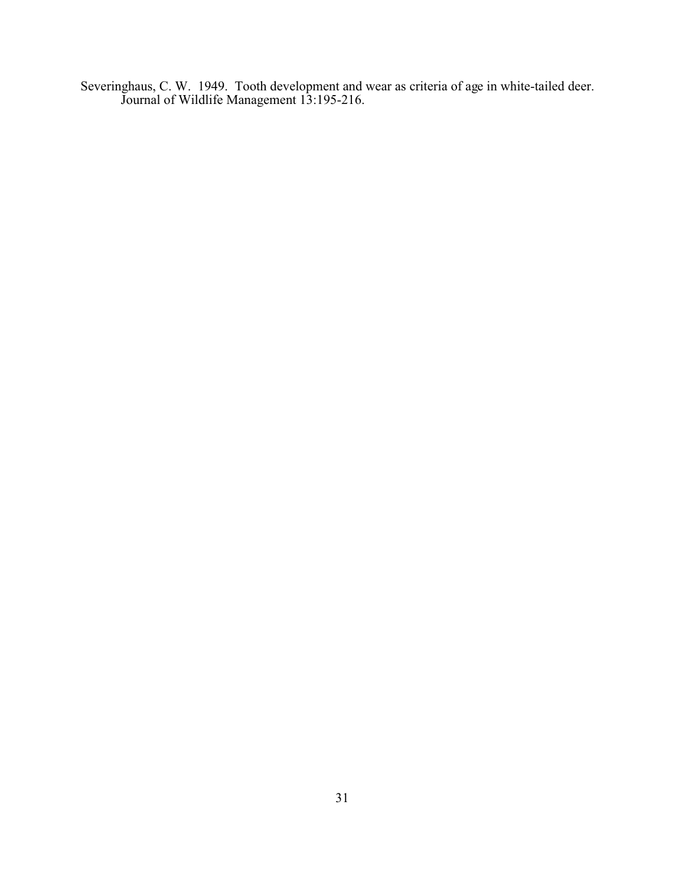Severinghaus, C. W. 1949. Tooth development and wear as criteria of age in white-tailed deer. Journal of Wildlife Management 13:195-216.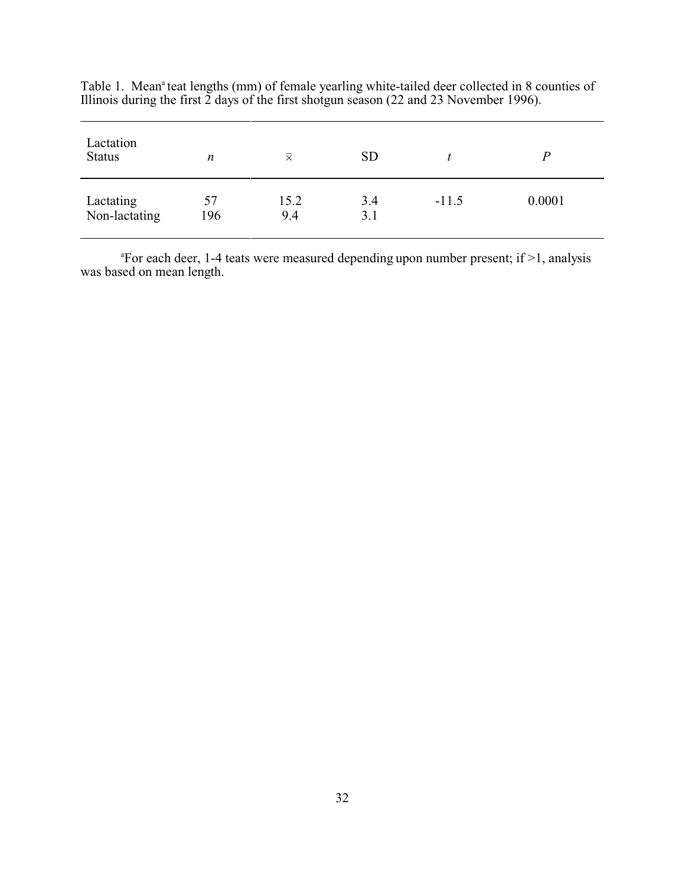| Lactation<br><b>Status</b> | n         | $\bar{\times}$ | <b>SD</b>  |         |        |
|----------------------------|-----------|----------------|------------|---------|--------|
| Lactating<br>Non-lactating | 57<br>196 | 15.2<br>9.4    | 3.4<br>3.1 | $-11.5$ | 0.0001 |

Table 1. Mean<sup>a</sup> teat lengths (mm) of female yearling white-tailed deer collected in 8 counties of Illinois during the first 2 days of the first shotgun season (22 and 23 November 1996).

<sup>a</sup>For each deer, 1-4 teats were measured depending upon number present; if >1, analysis was based on mean length.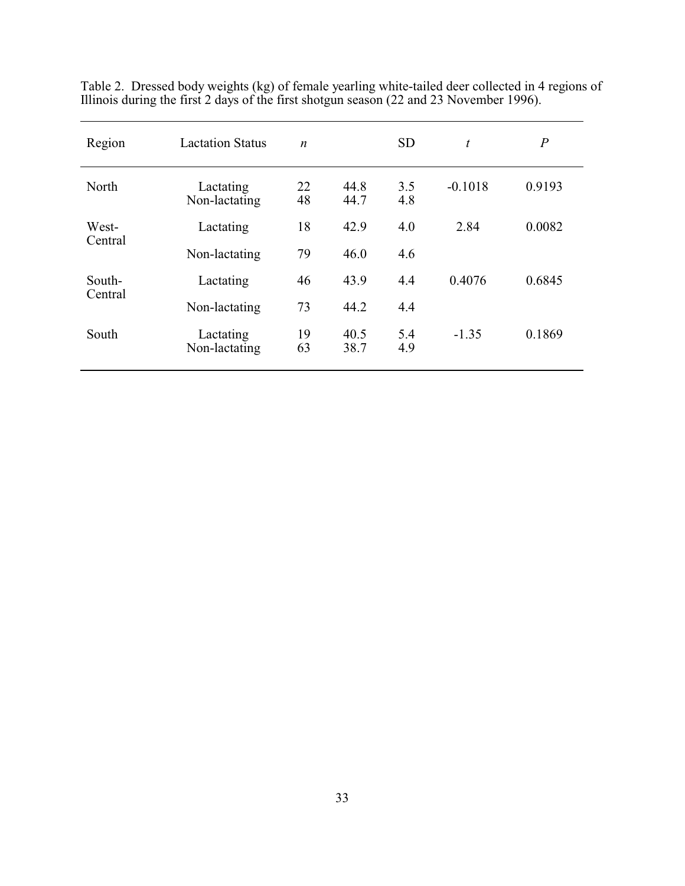| Region  | <b>Lactation Status</b>    | $\boldsymbol{n}$ |              | <b>SD</b>  | $\boldsymbol{t}$ | $\boldsymbol{P}$ |
|---------|----------------------------|------------------|--------------|------------|------------------|------------------|
| North   | Lactating<br>Non-lactating | 22<br>48         | 44.8<br>44.7 | 3.5<br>4.8 | $-0.1018$        | 0.9193           |
| West-   | Lactating                  | 18               | 42.9         | 4.0        | 2.84             | 0.0082           |
| Central | Non-lactating              | 79               | 46.0         | 4.6        |                  |                  |
| South-  | Lactating                  | 46               | 43.9         | 4.4        | 0.4076           | 0.6845           |
| Central | Non-lactating              | 73               | 44.2         | 4.4        |                  |                  |
| South   | Lactating<br>Non-lactating | 19<br>63         | 40.5<br>38.7 | 5.4<br>4.9 | $-1.35$          | 0.1869           |

Table 2. Dressed body weights (kg) of female yearling white-tailed deer collected in 4 regions of Illinois during the first 2 days of the first shotgun season (22 and 23 November 1996).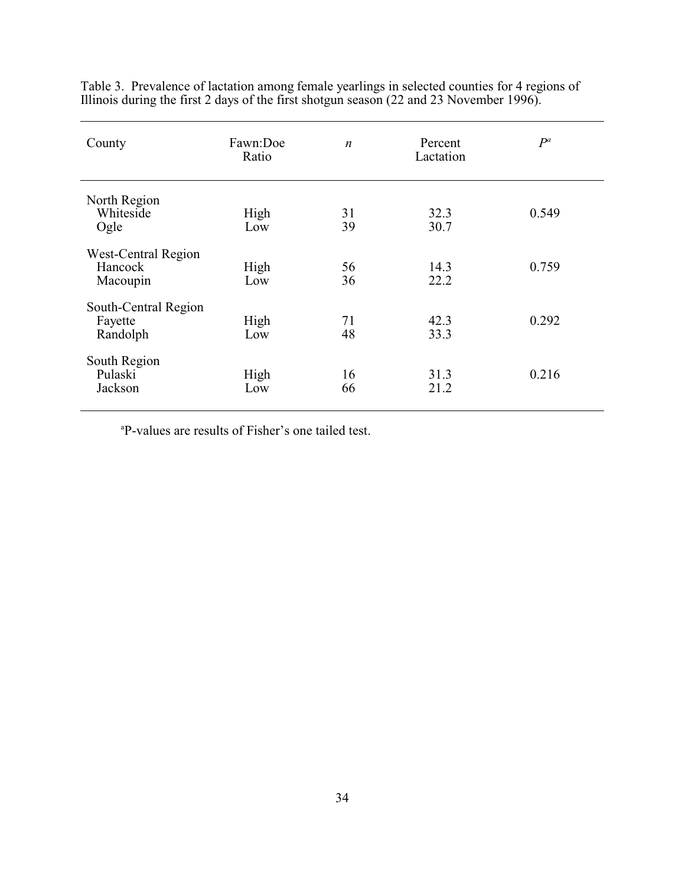| County                                      | Fawn:Doe<br>Ratio | $\boldsymbol{n}$ | Percent<br>Lactation | $P^a$ |
|---------------------------------------------|-------------------|------------------|----------------------|-------|
| North Region<br>Whiteside<br>Ogle           | High<br>Low       | 31<br>39         | 32.3<br>30.7         | 0.549 |
| West-Central Region<br>Hancock<br>Macoupin  | High<br>Low       | 56<br>36         | 14.3<br>22.2         | 0.759 |
| South-Central Region<br>Fayette<br>Randolph | High<br>Low       | 71<br>48         | 42.3<br>33.3         | 0.292 |
| South Region<br>Pulaski<br>Jackson          | High<br>Low       | 16<br>66         | 31.3<br>21.2         | 0.216 |

Table 3. Prevalence of lactation among female yearlings in selected counties for 4 regions of Illinois during the first 2 days of the first shotgun season (22 and 23 November 1996).

<sup>a</sup>P-values are results of Fisher's one tailed test.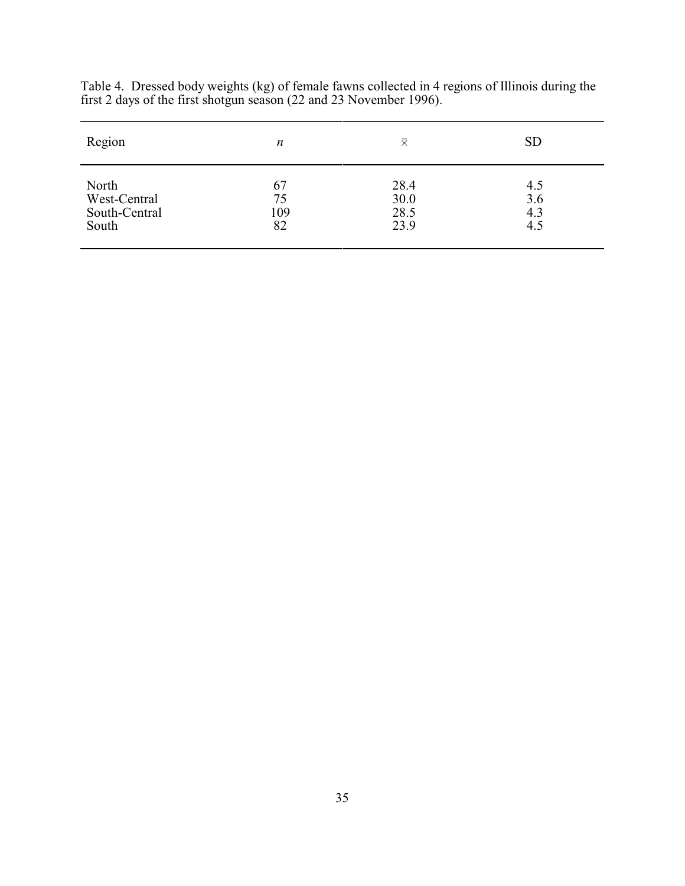| Region        | $\boldsymbol{n}$ | 又    | <b>SD</b> |
|---------------|------------------|------|-----------|
| North         | 67               | 28.4 | 4.5       |
| West-Central  | 75               | 30.0 | 3.6       |
| South-Central | 109              | 28.5 | 4.3       |
| South         | 82               | 23.9 | 4.5       |

Table 4. Dressed body weights (kg) of female fawns collected in 4 regions of Illinois during the first 2 days of the first shotgun season (22 and 23 November 1996).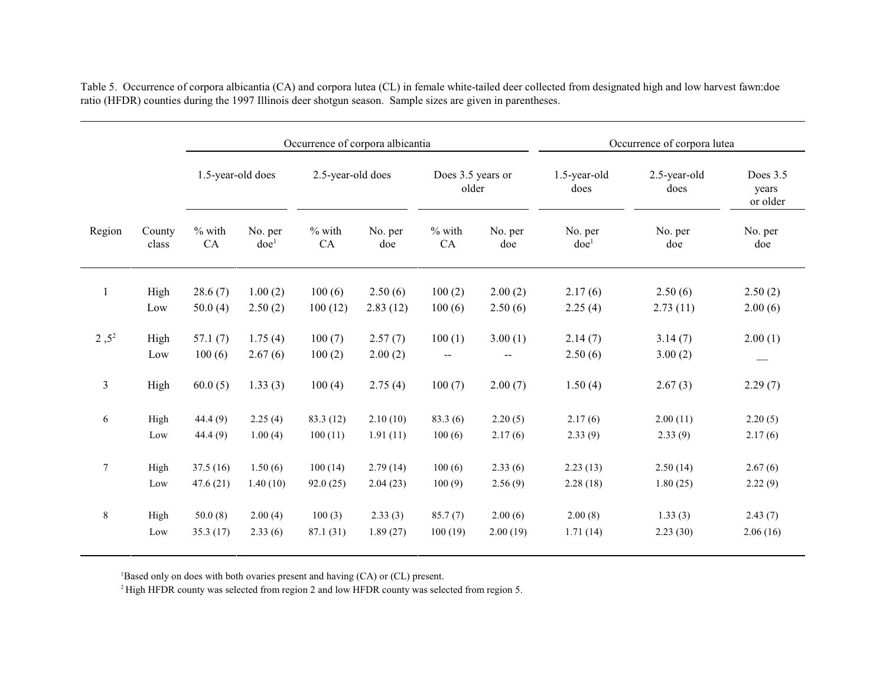|                |             |                   |                    |                   | Occurrence of corpora albicantia |                            | Occurrence of corpora lutea |                      |                      |                               |
|----------------|-------------|-------------------|--------------------|-------------------|----------------------------------|----------------------------|-----------------------------|----------------------|----------------------|-------------------------------|
|                |             | 1.5-year-old does |                    | 2.5-year-old does |                                  | Does 3.5 years or<br>older |                             | 1.5-year-old<br>does | 2.5-year-old<br>does | Does 3.5<br>years<br>or older |
| Region         | County      | $%$ with          | No. per            | $%$ with          | No. per                          | $%$ with                   | No. per                     | No. per              | No. per              | No. per                       |
|                | class       | CA                | doe <sup>1</sup>   | CA                | doe                              | CA                         | doe                         | doe <sup>1</sup>     | doe                  | doe                           |
| $\mathbf{1}$   | High        | 28.6(7)           | 1.00(2)            | 100(6)            | 2.50(6)                          | 100(2)                     | 2.00(2)                     | 2.17(6)              | 2.50(6)              | 2.50(2)                       |
|                | Low         | 50.0(4)           | 2.50(2)            | 100(12)           | 2.83(12)                         | 100(6)                     | 2.50(6)                     | 2.25(4)              | 2.73(11)             | 2.00(6)                       |
| $2,5^2$        | High<br>Low | 57.1(7)<br>100(6) | 1.75(4)<br>2.67(6) | 100(7)<br>100(2)  | 2.57(7)<br>2.00(2)               | 100(1)<br>$\sim$           | 3.00(1)                     | 2.14(7)<br>2.50(6)   | 3.14(7)<br>3.00(2)   | 2.00(1)                       |
| $\mathfrak{Z}$ | High        | 60.0(5)           | 1.33(3)            | 100(4)            | 2.75(4)                          | 100(7)                     | 2.00(7)                     | 1.50(4)              | 2.67(3)              | 2.29(7)                       |
| 6              | High        | 44.4(9)           | 2.25(4)            | 83.3 (12)         | 2.10(10)                         | 83.3(6)                    | 2.20(5)                     | 2.17(6)              | 2.00(11)             | 2.20(5)                       |
|                | Low         | 44.4(9)           | 1.00(4)            | 100(11)           | 1.91(11)                         | 100(6)                     | 2.17(6)                     | 2.33(9)              | 2.33(9)              | 2.17(6)                       |
| $\tau$         | High        | 37.5(16)          | 1.50(6)            | 100(14)           | 2.79(14)                         | 100(6)                     | 2.33(6)                     | 2.23(13)             | 2.50(14)             | 2.67(6)                       |
|                | Low         | 47.6(21)          | 1.40(10)           | 92.0(25)          | 2.04(23)                         | 100(9)                     | 2.56(9)                     | 2.28(18)             | 1.80(25)             | 2.22(9)                       |
| $8\,$          | High        | 50.0(8)           | 2.00(4)            | 100(3)            | 2.33(3)                          | 85.7(7)                    | 2.00(6)                     | 2.00(8)              | 1.33(3)              | 2.43(7)                       |
|                | Low         | 35.3(17)          | 2.33(6)            | 87.1 (31)         | 1.89(27)                         | 100(19)                    | 2.00(19)                    | 1.71(14)             | 2.23(30)             | 2.06(16)                      |

Table 5. Occurrence of corpora albicantia (CA) and corpora lutea (CL) in female white-tailed deer collected from designated high and low harvest fawn:doe ratio (HFDR) counties during the 1997 Illinois deer shotgun season. Sample sizes are given in parentheses.

<sup>1</sup>Based only on does with both ovaries present and having (CA) or (CL) present.

<sup>2</sup> High HFDR county was selected from region 2 and low HFDR county was selected from region 5.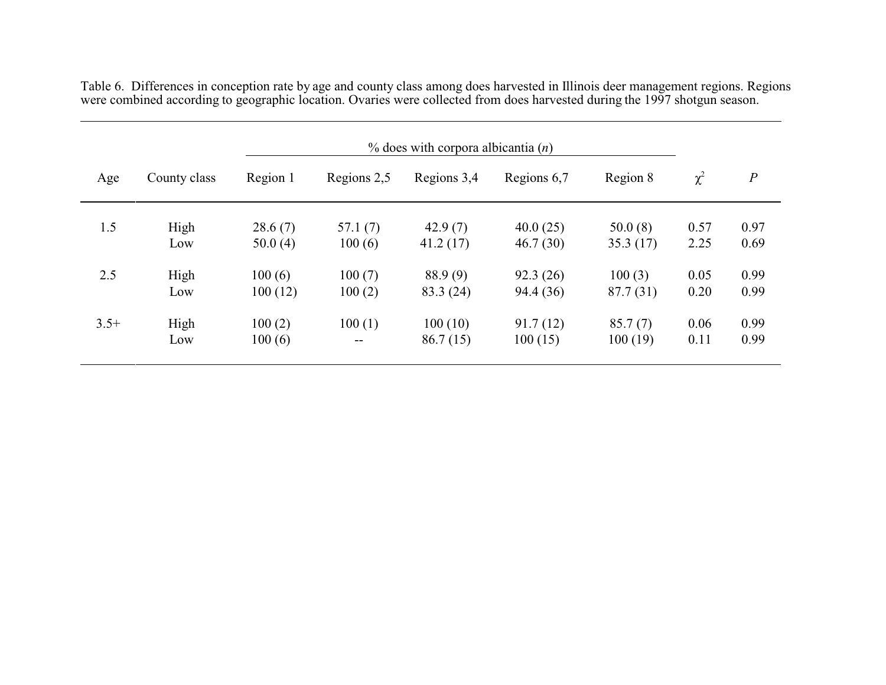| Age    | County class | Region 1 | Regions 2,5 | Regions 3,4 | Regions 6,7 | Region 8  | $\chi^2$ | $\boldsymbol{P}$ |
|--------|--------------|----------|-------------|-------------|-------------|-----------|----------|------------------|
| 1.5    | High         | 28.6(7)  | 57.1(7)     | 42.9(7)     | 40.0(25)    | 50.0(8)   | 0.57     | 0.97             |
|        | Low          | 50.0(4)  | 100(6)      | 41.2(17)    | 46.7(30)    | 35.3(17)  | 2.25     | 0.69             |
| 2.5    | High         | 100(6)   | 100(7)      | 88.9(9)     | 92.3(26)    | 100(3)    | 0.05     | 0.99             |
|        | Low          | 100(12)  | 100(2)      | 83.3 (24)   | 94.4 (36)   | 87.7 (31) | 0.20     | 0.99             |
| $3.5+$ | High         | 100(2)   | 100(1)      | 100(10)     | 91.7(12)    | 85.7(7)   | 0.06     | 0.99             |
|        | Low          | 100(6)   | $- -$       | 86.7(15)    | 100(15)     | 100(19)   | 0.11     | 0.99             |

Table 6. Differences in conception rate by age and county class among does harvested in Illinois deer management regions. Regions were combined according to geographic location. Ovaries were collected from does harvested during the 1997 shotgun season.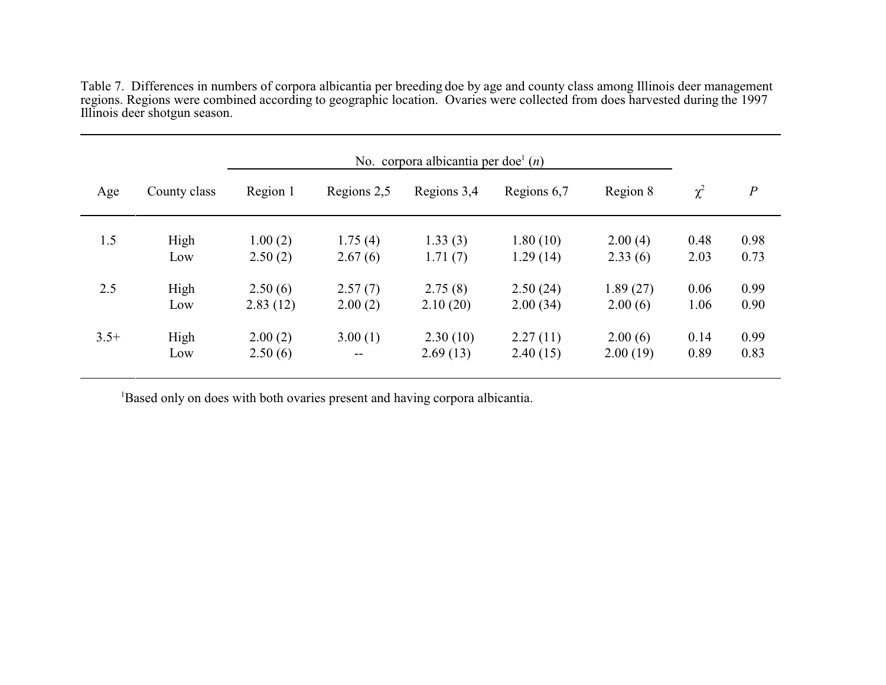Table 7. Differences in numbers of corpora albicantia per breeding doe by age and county class among Illinois deer management regions. Regions were combined according to geographic location. Ovaries were collected from does harvested during the 1997 Illinois deer shotgun season.

| No. corpora albicantia per doe $(n)$ |              |          |             |             |             |          |          |                  |
|--------------------------------------|--------------|----------|-------------|-------------|-------------|----------|----------|------------------|
| Age                                  | County class | Region 1 | Regions 2,5 | Regions 3,4 | Regions 6,7 | Region 8 | $\chi^2$ | $\boldsymbol{P}$ |
| 1.5                                  | High         | 1.00(2)  | 1.75(4)     | 1.33(3)     | 1.80(10)    | 2.00(4)  | 0.48     | 0.98             |
|                                      | Low          | 2.50(2)  | 2.67(6)     | 1.71(7)     | 1.29(14)    | 2.33(6)  | 2.03     | 0.73             |
| 2.5                                  | High         | 2.50(6)  | 2.57(7)     | 2.75(8)     | 2.50(24)    | 1.89(27) | 0.06     | 0.99             |
|                                      | Low          | 2.83(12) | 2.00(2)     | 2.10(20)    | 2.00(34)    | 2.00(6)  | 1.06     | 0.90             |
| $3.5+$                               | High         | 2.00(2)  | 3.00(1)     | 2.30(10)    | 2.27(11)    | 2.00(6)  | 0.14     | 0.99             |
|                                      | Low          | 2.50(6)  | $-$         | 2.69(13)    | 2.40(15)    | 2.00(19) | 0.89     | 0.83             |

<sup>1</sup>Based only on does with both ovaries present and having corpora albicantia.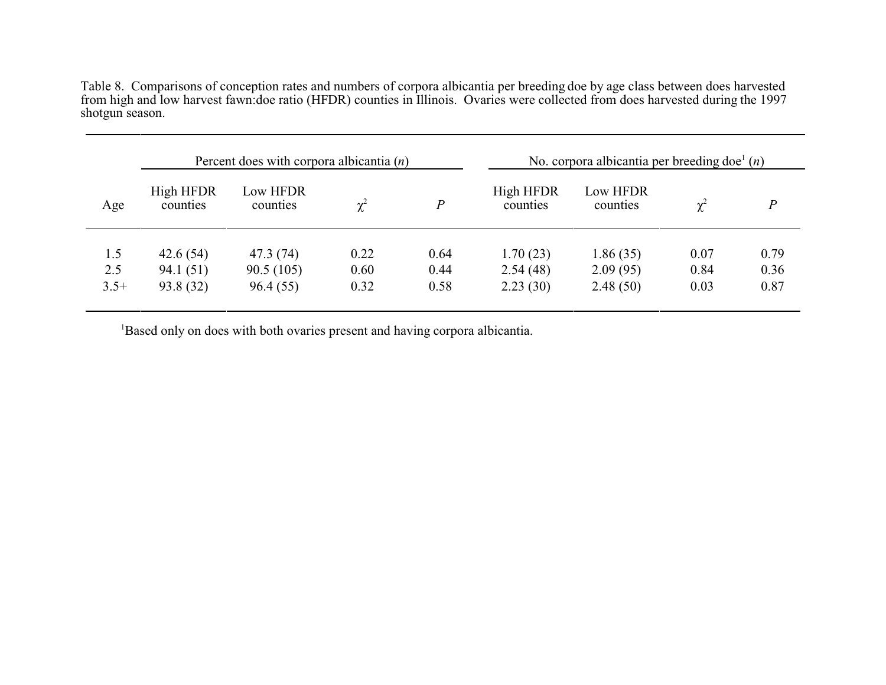Table 8. Comparisons of conception rates and numbers of corpora albicantia per breeding doe by age class between does harvested from high and low harvest fawn:doe ratio (HFDR) counties in Illinois. Ovaries were collected from does harvested during the 1997 shotgun season.

| Percent does with corpora albicantia $(n)$ |                       |                      |          |      |                       | No. corpora albicantia per breeding doe $(n)$ |          |          |
|--------------------------------------------|-----------------------|----------------------|----------|------|-----------------------|-----------------------------------------------|----------|----------|
| Age                                        | High HFDR<br>counties | Low HFDR<br>counties | $\chi^2$ | P    | High HFDR<br>counties | Low HFDR<br>counties                          | $\chi^2$ | $\bm{P}$ |
|                                            |                       |                      |          |      |                       |                                               |          |          |
| 1.5                                        | 42.6(54)              | 47.3 (74)            | 0.22     | 0.64 | 1.70(23)              | 1.86(35)                                      | 0.07     | 0.79     |
| 2.5                                        | 94.1(51)              | 90.5(105)            | 0.60     | 0.44 | 2.54(48)              | 2.09(95)                                      | 0.84     | 0.36     |
| $3.5+$                                     | 93.8 (32)             | 96.4(55)             | 0.32     | 0.58 | 2.23(30)              | 2.48(50)                                      | 0.03     | 0.87     |
|                                            |                       |                      |          |      |                       |                                               |          |          |

<sup>1</sup>Based only on does with both ovaries present and having corpora albicantia.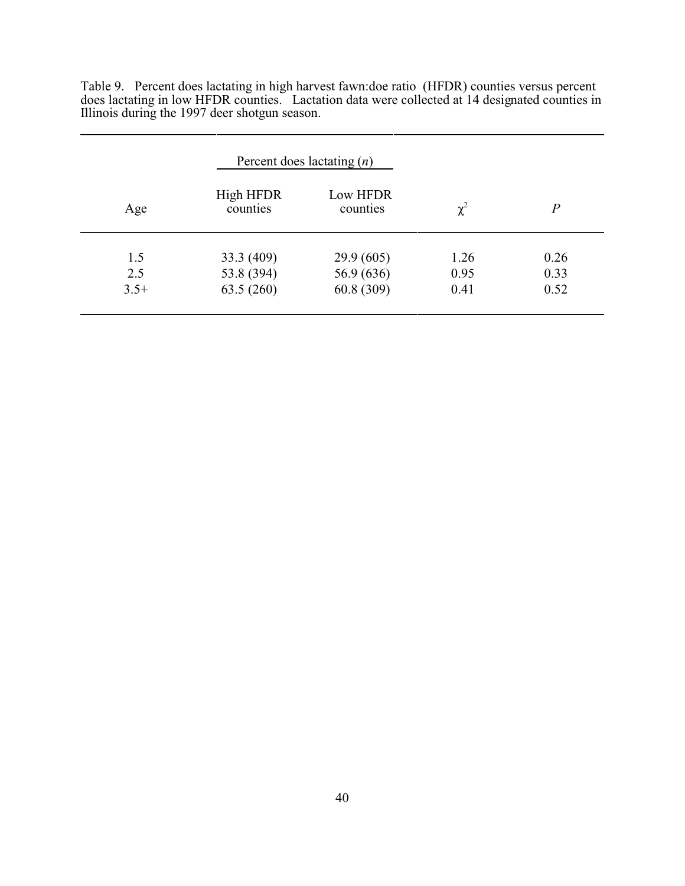Table 9. Percent does lactating in high harvest fawn:doe ratio (HFDR) counties versus percent does lactating in low HFDR counties. Lactation data were collected at 14 designated counties in Illinois during the 1997 deer shotgun season.

|        |                              | Percent does lactating $(n)$ |          |                |
|--------|------------------------------|------------------------------|----------|----------------|
| Age    | <b>High HFDR</b><br>counties | Low HFDR<br>counties         | $\chi^2$ | $\overline{P}$ |
| 1.5    | 33.3 (409)                   | 29.9(605)                    | 1.26     | 0.26           |
| 2.5    | 53.8 (394)                   | 56.9 (636)                   | 0.95     | 0.33           |
| $3.5+$ | 63.5(260)                    | 60.8 (309)                   | 0.41     | 0.52           |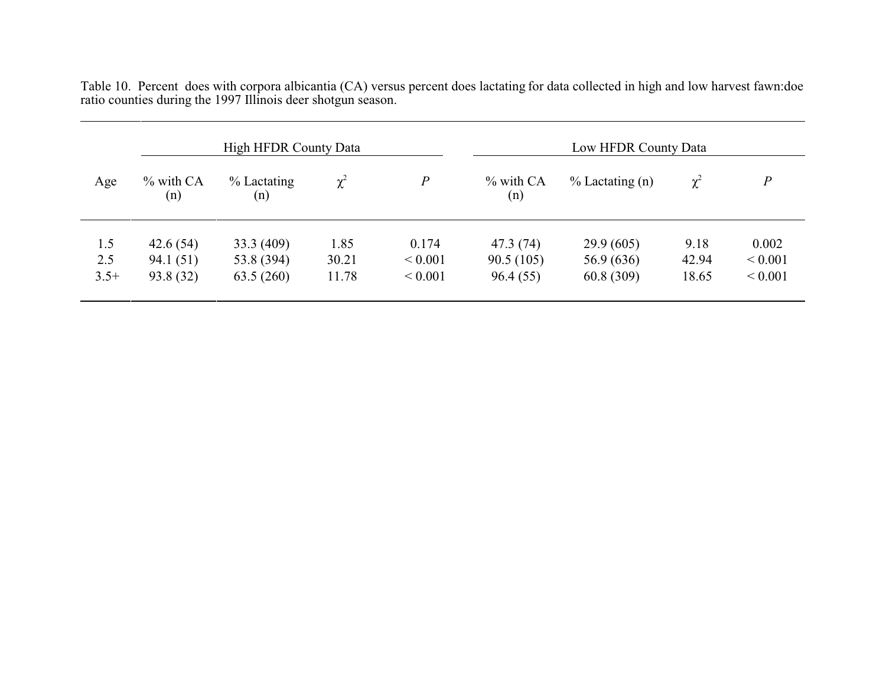| <b>High HFDR County Data</b> |                     |                       |          |                  | Low HFDR County Data |                    |          |              |  |
|------------------------------|---------------------|-----------------------|----------|------------------|----------------------|--------------------|----------|--------------|--|
| Age                          | $\%$ with CA<br>(n) | $\%$ Lactating<br>(n) | $\chi^2$ | $\boldsymbol{P}$ | $\%$ with CA<br>(n)  | $\%$ Lactating (n) | $\chi^2$ | P            |  |
| 1.5                          | 42.6(54)            | 33.3 (409)            | 1.85     | 0.174            | 47.3 (74)            | 29.9(605)          | 9.18     | 0.002        |  |
| 2.5                          | 94.1 (51)           | 53.8 (394)            | 30.21    | ${}< 0.001$      | 90.5(105)            | 56.9 (636)         | 42.94    | ${}_{0.001}$ |  |
| $3.5+$                       | 93.8 (32)           | 63.5(260)             | 11.78    | ${}< 0.001$      | 96.4(55)             | 60.8(309)          | 18.65    | ${}< 0.001$  |  |

Table 10. Percent does with corpora albicantia (CA) versus percent does lactating for data collected in high and low harvest fawn:doe ratio counties during the 1997 Illinois deer shotgun season.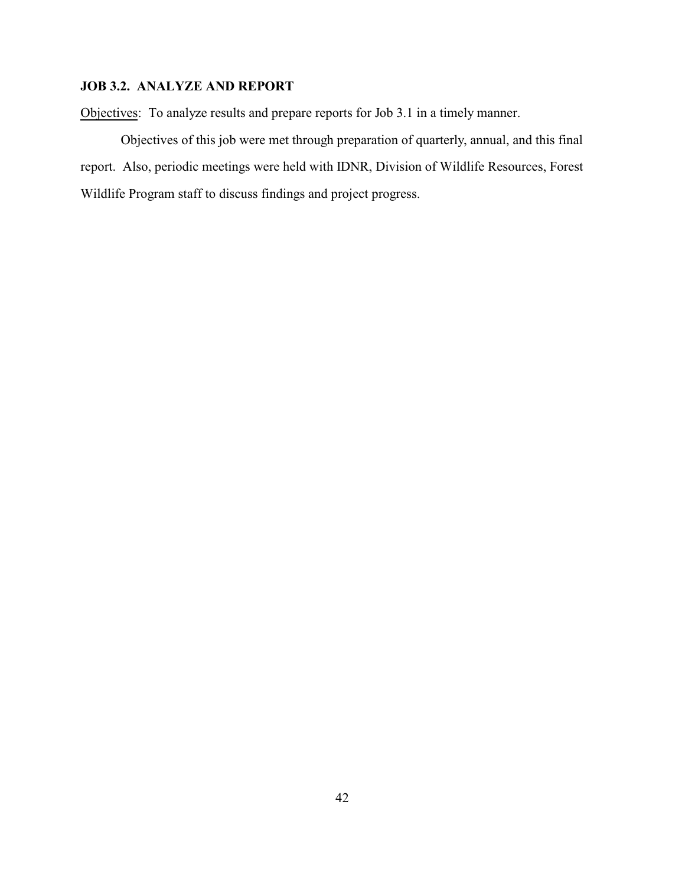#### **JOB 3.2. ANALYZE AND REPORT**

Objectives: To analyze results and prepare reports for Job 3.1 in a timely manner.

Objectives of this job were met through preparation of quarterly, annual, and this final report. Also, periodic meetings were held with IDNR, Division of Wildlife Resources, Forest Wildlife Program staff to discuss findings and project progress.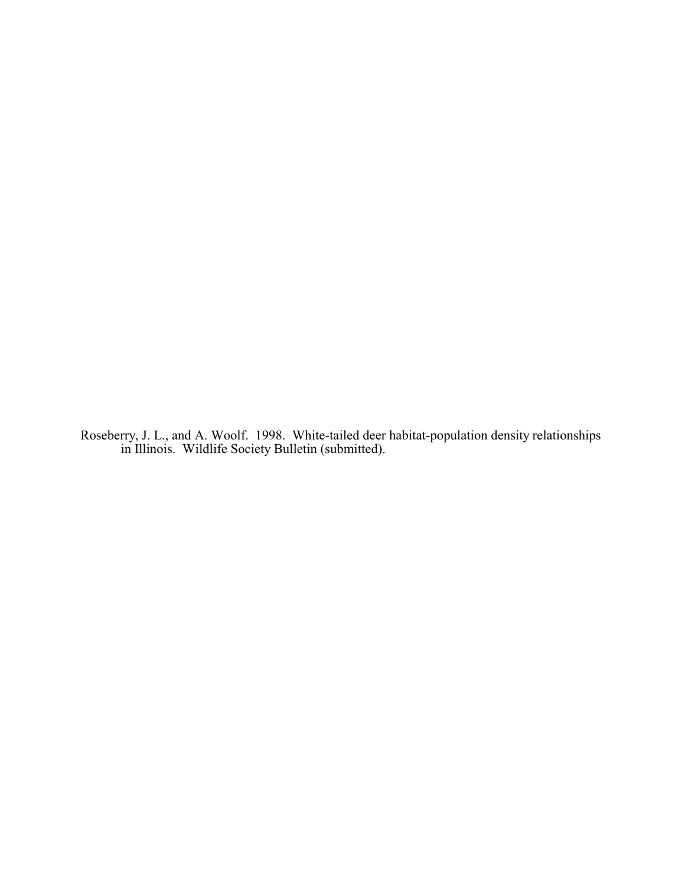Roseberry, J. L., and A. Woolf. 1998. White-tailed deer habitat-population density relationships in Illinois. Wildlife Society Bulletin (submitted).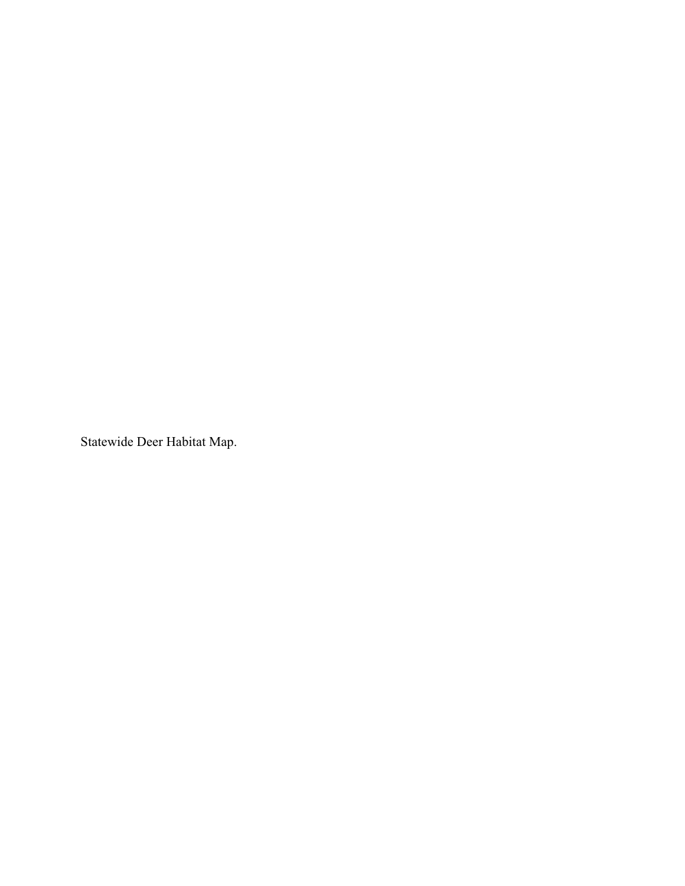Statewide Deer Habitat Map.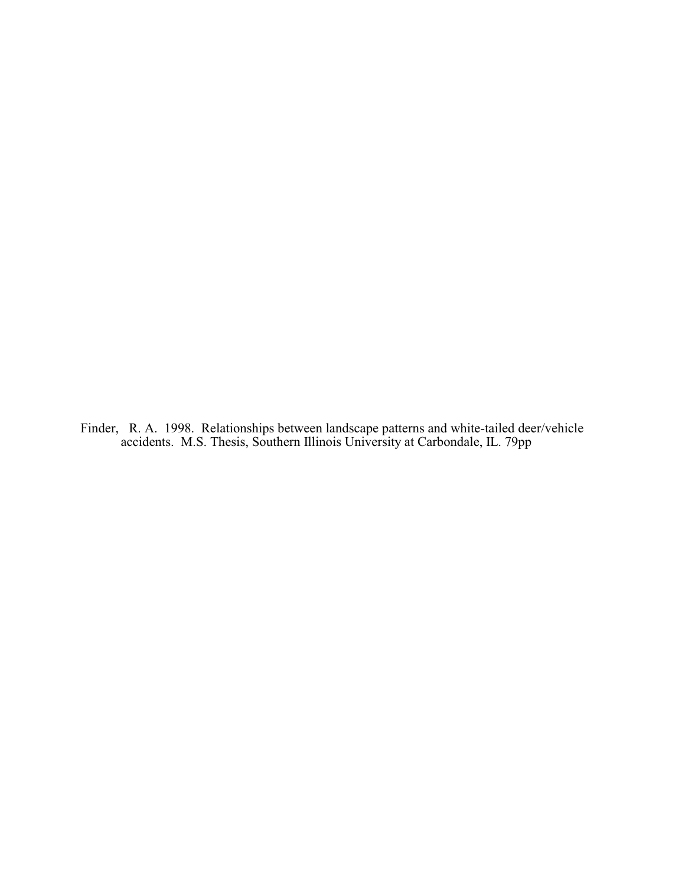Finder, R. A. 1998. Relationships between landscape patterns and white-tailed deer/vehicle accidents. M.S. Thesis, Southern Illinois University at Carbondale, IL. 79pp